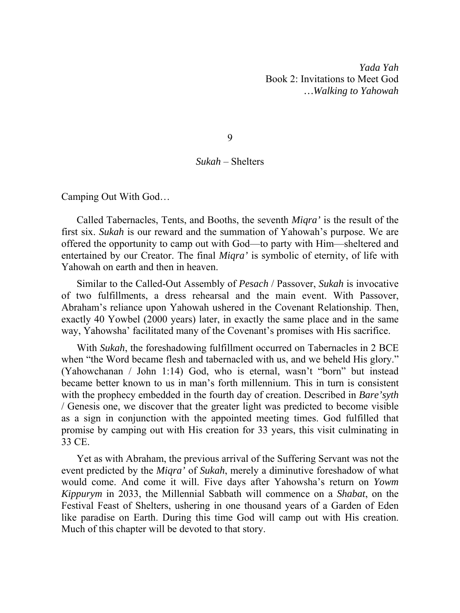*Yada Yah*  Book 2: Invitations to Meet God *…Walking to Yahowah* 

9

## *Sukah* – Shelters

Camping Out With God…

Called Tabernacles, Tents, and Booths, the seventh *Miqra'* is the result of the first six. *Sukah* is our reward and the summation of Yahowah's purpose. We are offered the opportunity to camp out with God—to party with Him—sheltered and entertained by our Creator. The final *Miqra'* is symbolic of eternity, of life with Yahowah on earth and then in heaven.

Similar to the Called-Out Assembly of *Pesach* / Passover, *Sukah* is invocative of two fulfillments, a dress rehearsal and the main event. With Passover, Abraham's reliance upon Yahowah ushered in the Covenant Relationship. Then, exactly 40 Yowbel (2000 years) later, in exactly the same place and in the same way, Yahowsha' facilitated many of the Covenant's promises with His sacrifice.

With *Sukah*, the foreshadowing fulfillment occurred on Tabernacles in 2 BCE when "the Word became flesh and tabernacled with us, and we beheld His glory." (Yahowchanan / John 1:14) God, who is eternal, wasn't "born" but instead became better known to us in man's forth millennium. This in turn is consistent with the prophecy embedded in the fourth day of creation. Described in *Bare'syth* / Genesis one, we discover that the greater light was predicted to become visible as a sign in conjunction with the appointed meeting times. God fulfilled that promise by camping out with His creation for 33 years, this visit culminating in 33 CE.

Yet as with Abraham, the previous arrival of the Suffering Servant was not the event predicted by the *Miqra'* of *Sukah*, merely a diminutive foreshadow of what would come. And come it will. Five days after Yahowsha's return on *Yowm Kippurym* in 2033, the Millennial Sabbath will commence on a *Shabat*, on the Festival Feast of Shelters, ushering in one thousand years of a Garden of Eden like paradise on Earth. During this time God will camp out with His creation. Much of this chapter will be devoted to that story.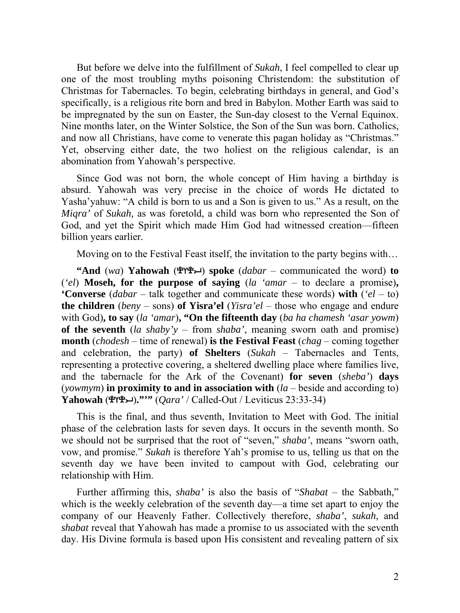But before we delve into the fulfillment of *Sukah*, I feel compelled to clear up one of the most troubling myths poisoning Christendom: the substitution of Christmas for Tabernacles. To begin, celebrating birthdays in general, and God's specifically, is a religious rite born and bred in Babylon. Mother Earth was said to be impregnated by the sun on Easter, the Sun-day closest to the Vernal Equinox. Nine months later, on the Winter Solstice, the Son of the Sun was born. Catholics, and now all Christians, have come to venerate this pagan holiday as "Christmas." Yet, observing either date, the two holiest on the religious calendar, is an abomination from Yahowah's perspective.

Since God was not born, the whole concept of Him having a birthday is absurd. Yahowah was very precise in the choice of words He dictated to Yasha'yahuw: "A child is born to us and a Son is given to us." As a result, on the *Miqra'* of *Sukah,* as was foretold, a child was born who represented the Son of God, and yet the Spirit which made Him God had witnessed creation—fifteen billion years earlier.

Moving on to the Festival Feast itself, the invitation to the party begins with…

**"And**  $(wa)$  **Yahowah**  $(\mathbf{P} \mathbf{Y} \mathbf{P} \mathbf{I})$  **spoke**  $(dabar -$  communicated the word) **to** (*'el*) **Moseh, for the purpose of saying** (*la 'amar* – to declare a promise)**, 'Converse** (*dabar* – talk together and communicate these words) **with** (*'el* – to) **the children** (*beny* – sons) **of Yisra'el** (*Yisra'el* – those who engage and endure with God)**, to say** (*la 'amar*)**, "On the fifteenth day** (*ba ha chamesh 'asar yowm*) **of the seventh** (*la shaby'y* – from *shaba'*, meaning sworn oath and promise) **month** (*chodesh* – time of renewal) **is the Festival Feast** (*chag* – coming together and celebration, the party) **of Shelters** (*Sukah* – Tabernacles and Tents, representing a protective covering, a sheltered dwelling place where families live, and the tabernacle for the Ark of the Covenant) **for seven** (*sheba'*) **days**  (*yowmym*) **in proximity to and in association with** (*la* – beside and according to) **Yahowah** ()**."'"** (*Qara'* / Called-Out / Leviticus 23:33-34)

This is the final, and thus seventh, Invitation to Meet with God. The initial phase of the celebration lasts for seven days. It occurs in the seventh month. So we should not be surprised that the root of "seven," *shaba'*, means "sworn oath, vow, and promise." *Sukah* is therefore Yah's promise to us, telling us that on the seventh day we have been invited to campout with God, celebrating our relationship with Him.

Further affirming this, *shaba'* is also the basis of "*Shabat* – the Sabbath," which is the weekly celebration of the seventh day—a time set apart to enjoy the company of our Heavenly Father. Collectively therefore, *shaba'*, *sukah*, and *shabat* reveal that Yahowah has made a promise to us associated with the seventh day. His Divine formula is based upon His consistent and revealing pattern of six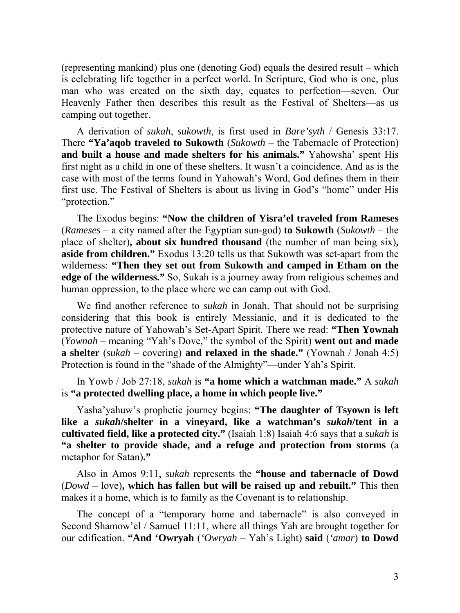(representing mankind) plus one (denoting God) equals the desired result – which is celebrating life together in a perfect world. In Scripture, God who is one, plus man who was created on the sixth day, equates to perfection—seven. Our Heavenly Father then describes this result as the Festival of Shelters—as us camping out together.

A derivation of *sukah*, *sukowth*, is first used in *Bare'syth* / Genesis 33:17. There **"Ya'aqob traveled to Sukowth** (*Sukowth* – the Tabernacle of Protection) **and built a house and made shelters for his animals."** Yahowsha' spent His first night as a child in one of these shelters. It wasn't a coincidence. And as is the case with most of the terms found in Yahowah's Word, God defines them in their first use. The Festival of Shelters is about us living in God's "home" under His "protection."

The Exodus begins: **"Now the children of Yisra'el traveled from Rameses** (*Rameses* – a city named after the Egyptian sun-god) **to Sukowth** (*Sukowth* – the place of shelter)**, about six hundred thousand** (the number of man being six)**, aside from children."** Exodus 13:20 tells us that Sukowth was set-apart from the wilderness: **"Then they set out from Sukowth and camped in Etham on the edge of the wilderness."** So, Sukah is a journey away from religious schemes and human oppression, to the place where we can camp out with God.

We find another reference to *sukah* in Jonah. That should not be surprising considering that this book is entirely Messianic, and it is dedicated to the protective nature of Yahowah's Set-Apart Spirit. There we read: **"Then Yownah** (*Yownah* – meaning "Yah's Dove," the symbol of the Spirit) **went out and made a shelter** (*sukah* – covering) **and relaxed in the shade."** (Yownah / Jonah 4:5) Protection is found in the "shade of the Almighty"—under Yah's Spirit.

In Yowb / Job 27:18, *sukah* is **"a home which a watchman made."** A *sukah* is **"a protected dwelling place, a home in which people live."**

Yasha'yahuw's prophetic journey begins: **"The daughter of Tsyown is left like a** *sukah***/shelter in a vineyard, like a watchman's** *sukah***/tent in a cultivated field, like a protected city."** (Isaiah 1:8) Isaiah 4:6 says that a *sukah* is **"a shelter to provide shade, and a refuge and protection from storms** (a metaphor for Satan)**."**

Also in Amos 9:11, *sukah* represents the **"house and tabernacle of Dowd** (*Dowd* – love)**, which has fallen but will be raised up and rebuilt."** This then makes it a home, which is to family as the Covenant is to relationship.

The concept of a "temporary home and tabernacle" is also conveyed in Second Shamow'el / Samuel 11:11, where all things Yah are brought together for our edification. **"And 'Owryah** (*'Owryah* – Yah's Light) **said** (*'amar*) **to Dowd**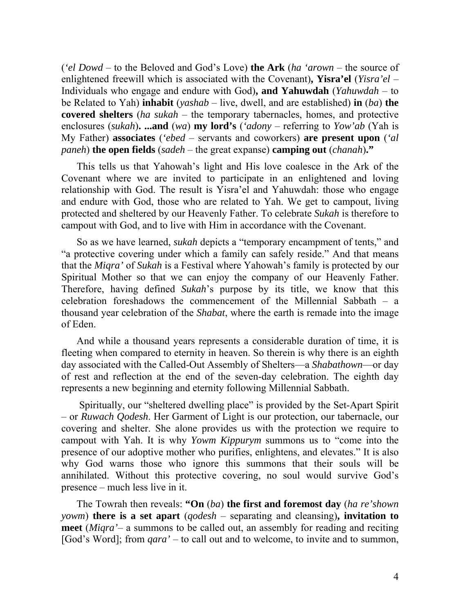(*'el Dowd* – to the Beloved and God's Love) **the Ark** (*ha 'arown* – the source of enlightened freewill which is associated with the Covenant)**, Yisra'el** (*Yisra'el* – Individuals who engage and endure with God)**, and Yahuwdah** (*Yahuwdah* – to be Related to Yah) **inhabit** (*yashab* – live, dwell, and are established) **in** (*ba*) **the covered shelters** (*ha sukah* – the temporary tabernacles, homes, and protective enclosures (*sukah*)**. ...and** (*wa*) **my lord's** (*'adony* – referring to *Yow'ab* (Yah is My Father) **associates** (*'ebed* – servants and coworkers) **are present upon** (*'al paneh*) **the open fields** (*sadeh* – the great expanse) **camping out** (*chanah*)**."**

This tells us that Yahowah's light and His love coalesce in the Ark of the Covenant where we are invited to participate in an enlightened and loving relationship with God. The result is Yisra'el and Yahuwdah: those who engage and endure with God, those who are related to Yah. We get to campout, living protected and sheltered by our Heavenly Father. To celebrate *Sukah* is therefore to campout with God, and to live with Him in accordance with the Covenant.

So as we have learned, *sukah* depicts a "temporary encampment of tents," and "a protective covering under which a family can safely reside." And that means that the *Miqra'* of *Sukah* is a Festival where Yahowah's family is protected by our Spiritual Mother so that we can enjoy the company of our Heavenly Father. Therefore, having defined *Sukah*'s purpose by its title, we know that this celebration foreshadows the commencement of the Millennial Sabbath – a thousand year celebration of the *Shabat*, where the earth is remade into the image of Eden.

And while a thousand years represents a considerable duration of time, it is fleeting when compared to eternity in heaven. So therein is why there is an eighth day associated with the Called-Out Assembly of Shelters—a *Shabathown*—or day of rest and reflection at the end of the seven-day celebration. The eighth day represents a new beginning and eternity following Millennial Sabbath.

 Spiritually, our "sheltered dwelling place" is provided by the Set-Apart Spirit – or *Ruwach Qodesh*. Her Garment of Light is our protection, our tabernacle, our covering and shelter. She alone provides us with the protection we require to campout with Yah. It is why *Yowm Kippurym* summons us to "come into the presence of our adoptive mother who purifies, enlightens, and elevates." It is also why God warns those who ignore this summons that their souls will be annihilated. Without this protective covering, no soul would survive God's presence – much less live in it.

The Towrah then reveals: **"On** (*ba*) **the first and foremost day** (*ha re'shown yowm*) **there is a set apart** (*qodesh* – separating and cleansing)**, invitation to meet** (*Miqra'*– a summons to be called out, an assembly for reading and reciting [God's Word]; from *qara'* – to call out and to welcome, to invite and to summon,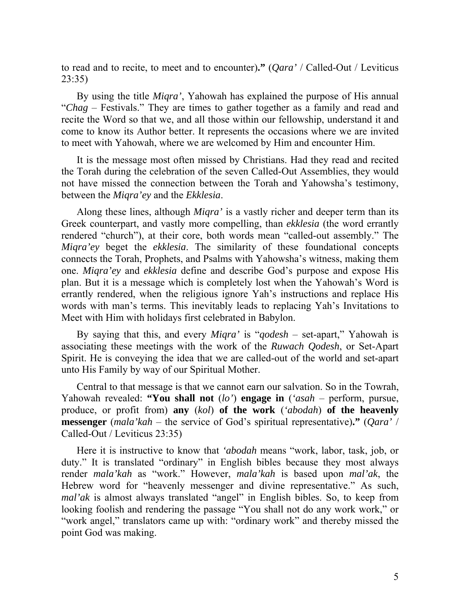to read and to recite, to meet and to encounter)**."** (*Qara'* / Called-Out / Leviticus 23:35)

By using the title *Miqra'*, Yahowah has explained the purpose of His annual "*Chag* – Festivals." They are times to gather together as a family and read and recite the Word so that we, and all those within our fellowship, understand it and come to know its Author better. It represents the occasions where we are invited to meet with Yahowah, where we are welcomed by Him and encounter Him.

It is the message most often missed by Christians. Had they read and recited the Torah during the celebration of the seven Called-Out Assemblies, they would not have missed the connection between the Torah and Yahowsha's testimony, between the *Miqra'ey* and the *Ekklesia*.

Along these lines, although *Miqra'* is a vastly richer and deeper term than its Greek counterpart, and vastly more compelling, than *ekklesia* (the word errantly rendered "church"), at their core, both words mean "called-out assembly." The *Miqra'ey* beget the *ekklesia*. The similarity of these foundational concepts connects the Torah, Prophets, and Psalms with Yahowsha's witness, making them one. *Miqra'ey* and *ekklesia* define and describe God's purpose and expose His plan. But it is a message which is completely lost when the Yahowah's Word is errantly rendered, when the religious ignore Yah's instructions and replace His words with man's terms. This inevitably leads to replacing Yah's Invitations to Meet with Him with holidays first celebrated in Babylon.

By saying that this, and every *Miqra'* is "*qodesh* – set-apart," Yahowah is associating these meetings with the work of the *Ruwach Qodesh*, or Set-Apart Spirit. He is conveying the idea that we are called-out of the world and set-apart unto His Family by way of our Spiritual Mother.

Central to that message is that we cannot earn our salvation. So in the Towrah, Yahowah revealed: **"You shall not** (*lo'*) **engage in** (*'asah* – perform, pursue, produce, or profit from) **any** (*kol*) **of the work** (*'abodah*) **of the heavenly messenger** (*mala'kah* – the service of God's spiritual representative)**."** (*Qara'* / Called-Out / Leviticus 23:35)

Here it is instructive to know that *'abodah* means "work, labor, task, job, or duty." It is translated "ordinary" in English bibles because they most always render *mala'kah* as "work." However, *mala'kah* is based upon *mal'ak*, the Hebrew word for "heavenly messenger and divine representative." As such, *mal'ak* is almost always translated "angel" in English bibles. So, to keep from looking foolish and rendering the passage "You shall not do any work work," or "work angel," translators came up with: "ordinary work" and thereby missed the point God was making.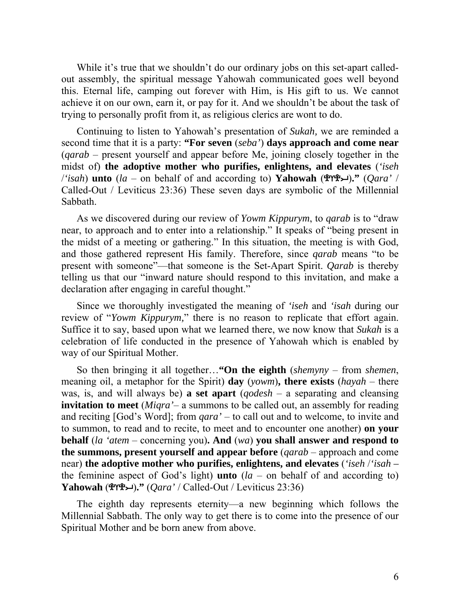While it's true that we shouldn't do our ordinary jobs on this set-apart calledout assembly, the spiritual message Yahowah communicated goes well beyond this. Eternal life, camping out forever with Him, is His gift to us. We cannot achieve it on our own, earn it, or pay for it. And we shouldn't be about the task of trying to personally profit from it, as religious clerics are wont to do.

Continuing to listen to Yahowah's presentation of *Sukah,* we are reminded a second time that it is a party: **"For seven** (*seba'*) **days approach and come near** (*qarab* – present yourself and appear before Me, joining closely together in the midst of) **the adoptive mother who purifies, enlightens, and elevates** (*'iseh /'isah*) **unto** (*la* – on behalf of and according to) **Yahowah** ( $\mathcal{P}$ Y $\mathcal{P}$  $\rightarrow$ )." (*Qara'* / Called-Out / Leviticus 23:36) These seven days are symbolic of the Millennial Sabbath.

As we discovered during our review of *Yowm Kippurym*, to *qarab* is to "draw near, to approach and to enter into a relationship." It speaks of "being present in the midst of a meeting or gathering." In this situation, the meeting is with God, and those gathered represent His family. Therefore, since *qarab* means "to be present with someone"—that someone is the Set-Apart Spirit. *Qarab* is thereby telling us that our "inward nature should respond to this invitation, and make a declaration after engaging in careful thought."

Since we thoroughly investigated the meaning of *'iseh* and *'isah* during our review of "*Yowm Kippurym,*" there is no reason to replicate that effort again. Suffice it to say, based upon what we learned there, we now know that *Sukah* is a celebration of life conducted in the presence of Yahowah which is enabled by way of our Spiritual Mother.

So then bringing it all together…**"On the eighth** (*shemyny* – from *shemen*, meaning oil, a metaphor for the Spirit) **day** (*yowm*)**, there exists** (*hayah* – there was, is, and will always be) **a set apart** (*qodesh* – a separating and cleansing **invitation to meet** (*Miqra'*– a summons to be called out, an assembly for reading and reciting [God's Word]; from *qara'* – to call out and to welcome, to invite and to summon, to read and to recite, to meet and to encounter one another) **on your behalf** (*la 'atem* – concerning you)**. And** (*wa*) **you shall answer and respond to the summons, present yourself and appear before** (*qarab* – approach and come near) **the adoptive mother who purifies, enlightens, and elevates** (*'iseh* /*'isah –*  the feminine aspect of God's light) **unto**  $(a - \text{on } \text{ behalf of and according to})$ **Yahowah** ()**."** (*Qara'* / Called-Out / Leviticus 23:36)

The eighth day represents eternity—a new beginning which follows the Millennial Sabbath. The only way to get there is to come into the presence of our Spiritual Mother and be born anew from above.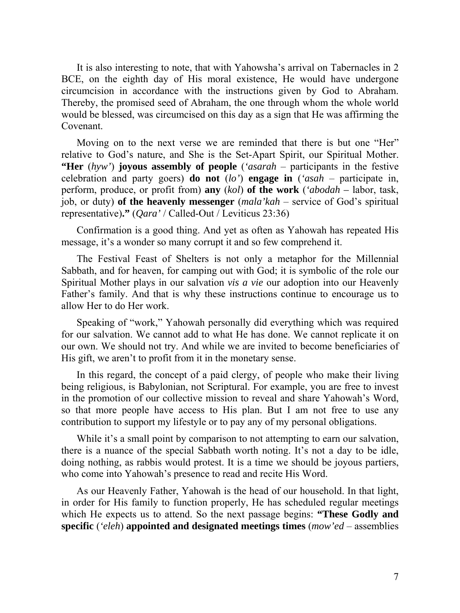It is also interesting to note, that with Yahowsha's arrival on Tabernacles in 2 BCE, on the eighth day of His moral existence, He would have undergone circumcision in accordance with the instructions given by God to Abraham. Thereby, the promised seed of Abraham, the one through whom the whole world would be blessed, was circumcised on this day as a sign that He was affirming the Covenant.

Moving on to the next verse we are reminded that there is but one "Her" relative to God's nature, and She is the Set-Apart Spirit, our Spiritual Mother. **"Her** (*hyw'*) **joyous assembly of people** (*'asarah* – participants in the festive celebration and party goers) **do not** (*lo'*) **engage in** (*'asah* – participate in, perform, produce, or profit from) **any** (*kol*) **of the work** (*'abodah –* labor, task, job, or duty) **of the heavenly messenger** (*mala'kah* – service of God's spiritual representative)**."** (*Qara'* / Called-Out / Leviticus 23:36)

Confirmation is a good thing. And yet as often as Yahowah has repeated His message, it's a wonder so many corrupt it and so few comprehend it.

The Festival Feast of Shelters is not only a metaphor for the Millennial Sabbath, and for heaven, for camping out with God; it is symbolic of the role our Spiritual Mother plays in our salvation *vis a vie* our adoption into our Heavenly Father's family. And that is why these instructions continue to encourage us to allow Her to do Her work.

Speaking of "work," Yahowah personally did everything which was required for our salvation. We cannot add to what He has done. We cannot replicate it on our own. We should not try. And while we are invited to become beneficiaries of His gift, we aren't to profit from it in the monetary sense.

In this regard, the concept of a paid clergy, of people who make their living being religious, is Babylonian, not Scriptural. For example, you are free to invest in the promotion of our collective mission to reveal and share Yahowah's Word, so that more people have access to His plan. But I am not free to use any contribution to support my lifestyle or to pay any of my personal obligations.

While it's a small point by comparison to not attempting to earn our salvation, there is a nuance of the special Sabbath worth noting. It's not a day to be idle, doing nothing, as rabbis would protest. It is a time we should be joyous partiers, who come into Yahowah's presence to read and recite His Word.

As our Heavenly Father, Yahowah is the head of our household. In that light, in order for His family to function properly, He has scheduled regular meetings which He expects us to attend. So the next passage begins: **"These Godly and specific** (*'eleh*) **appointed and designated meetings times** (*mow'ed* – assemblies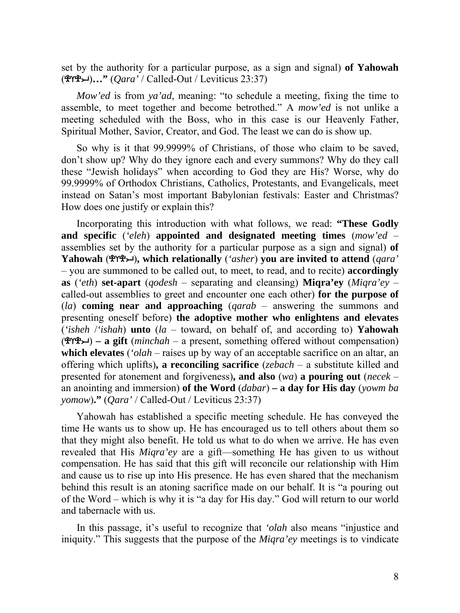set by the authority for a particular purpose, as a sign and signal) **of Yahowah** ()**…"** (*Qara'* / Called-Out / Leviticus 23:37)

*Mow'ed* is from *ya'ad*, meaning: "to schedule a meeting, fixing the time to assemble, to meet together and become betrothed." A *mow'ed* is not unlike a meeting scheduled with the Boss, who in this case is our Heavenly Father, Spiritual Mother, Savior, Creator, and God. The least we can do is show up.

So why is it that 99.9999% of Christians, of those who claim to be saved, don't show up? Why do they ignore each and every summons? Why do they call these "Jewish holidays" when according to God they are His? Worse, why do 99.9999% of Orthodox Christians, Catholics, Protestants, and Evangelicals, meet instead on Satan's most important Babylonian festivals: Easter and Christmas? How does one justify or explain this?

Incorporating this introduction with what follows, we read: **"These Godly and specific** (*'eleh*) **appointed and designated meeting times** (*mow'ed* – assemblies set by the authority for a particular purpose as a sign and signal) **of Yahowah** ()**, which relationally** (*'asher*) **you are invited to attend** (*qara'* – you are summoned to be called out, to meet, to read, and to recite) **accordingly as** (*'eth*) **set-apart** (*qodesh* – separating and cleansing) **Miqra'ey** (*Miqra'ey* – called-out assemblies to greet and encounter one each other) **for the purpose of**  (*la*) **coming near and approaching** (*qarab* – answering the summons and presenting oneself before) **the adoptive mother who enlightens and elevates**  (*'isheh* /*'ishah*) **unto** (*la* – toward, on behalf of, and according to) **Yahowah**  () **– a gift** (*minchah* – a present, something offered without compensation) **which elevates** (*'olah* – raises up by way of an acceptable sacrifice on an altar, an offering which uplifts)**, a reconciling sacrifice** (*zebach* – a substitute killed and presented for atonement and forgiveness)**, and also** (*wa*) **a pouring out** (*necek* – an anointing and immersion) **of the Word** (*dabar*) **– a day for His day** (*yowm ba yomow*)**."** (*Qara'* / Called-Out / Leviticus 23:37)

Yahowah has established a specific meeting schedule. He has conveyed the time He wants us to show up. He has encouraged us to tell others about them so that they might also benefit. He told us what to do when we arrive. He has even revealed that His *Miqra'ey* are a gift—something He has given to us without compensation. He has said that this gift will reconcile our relationship with Him and cause us to rise up into His presence. He has even shared that the mechanism behind this result is an atoning sacrifice made on our behalf. It is "a pouring out of the Word – which is why it is "a day for His day." God will return to our world and tabernacle with us.

In this passage, it's useful to recognize that *'olah* also means "injustice and iniquity." This suggests that the purpose of the *Miqra'ey* meetings is to vindicate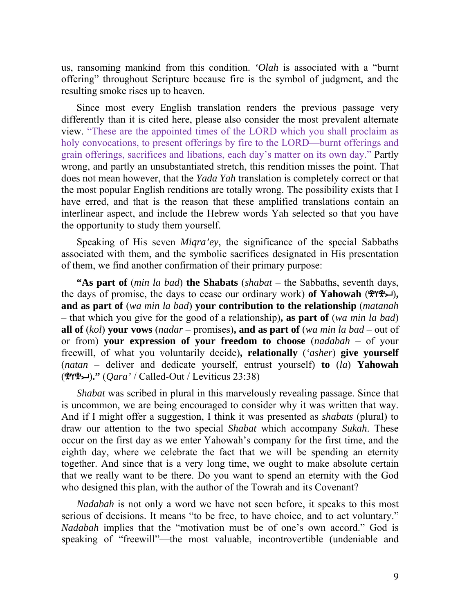us, ransoming mankind from this condition. *'Olah* is associated with a "burnt offering" throughout Scripture because fire is the symbol of judgment, and the resulting smoke rises up to heaven.

Since most every English translation renders the previous passage very differently than it is cited here, please also consider the most prevalent alternate view. "These are the appointed times of the LORD which you shall proclaim as holy convocations, to present offerings by fire to the LORD—burnt offerings and grain offerings, sacrifices and libations, each day's matter on its own day." Partly wrong, and partly an unsubstantiated stretch, this rendition misses the point. That does not mean however, that the *Yada Yah* translation is completely correct or that the most popular English renditions are totally wrong. The possibility exists that I have erred, and that is the reason that these amplified translations contain an interlinear aspect, and include the Hebrew words Yah selected so that you have the opportunity to study them yourself.

Speaking of His seven *Miqra'ey*, the significance of the special Sabbaths associated with them, and the symbolic sacrifices designated in His presentation of them, we find another confirmation of their primary purpose:

**"As part of** (*min la bad*) **the Shabats** (*shabat* – the Sabbaths, seventh days, the days of promise, the days to cease our ordinary work) of Yahowah ( $\mathcal{P}(\mathcal{P}, \mathcal{P})$ , **and as part of** (*wa min la bad*) **your contribution to the relationship** (*matanah* – that which you give for the good of a relationship)**, as part of** (*wa min la bad*) **all of** (*kol*) **your vows** (*nadar* – promises)**, and as part of** (*wa min la bad* – out of or from) **your expression of your freedom to choose** (*nadabah* – of your freewill, of what you voluntarily decide)**, relationally** (*'asher*) **give yourself**  (*natan* – deliver and dedicate yourself, entrust yourself) **to** (*la*) **Yahowah**  ()**."** (*Qara'* / Called-Out / Leviticus 23:38)

*Shabat* was scribed in plural in this marvelously revealing passage. Since that is uncommon, we are being encouraged to consider why it was written that way. And if I might offer a suggestion, I think it was presented as *shabats* (plural) to draw our attention to the two special *Shabat* which accompany *Sukah*. These occur on the first day as we enter Yahowah's company for the first time, and the eighth day, where we celebrate the fact that we will be spending an eternity together. And since that is a very long time, we ought to make absolute certain that we really want to be there. Do you want to spend an eternity with the God who designed this plan, with the author of the Towrah and its Covenant?

*Nadabah* is not only a word we have not seen before, it speaks to this most serious of decisions. It means "to be free, to have choice, and to act voluntary." *Nadabah* implies that the "motivation must be of one's own accord." God is speaking of "freewill"—the most valuable, incontrovertible (undeniable and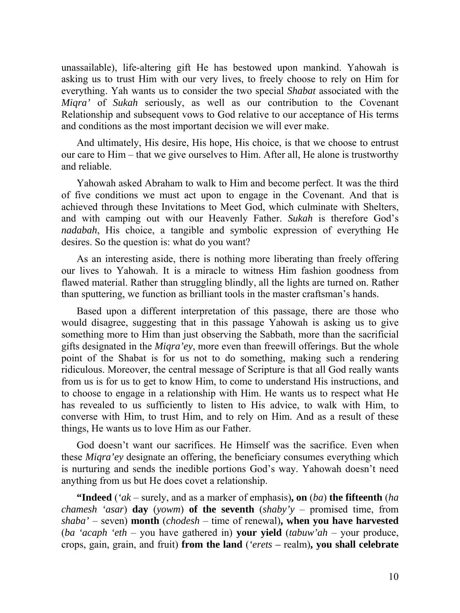unassailable), life-altering gift He has bestowed upon mankind. Yahowah is asking us to trust Him with our very lives, to freely choose to rely on Him for everything. Yah wants us to consider the two special *Shabat* associated with the *Miqra'* of *Sukah* seriously, as well as our contribution to the Covenant Relationship and subsequent vows to God relative to our acceptance of His terms and conditions as the most important decision we will ever make.

And ultimately, His desire, His hope, His choice, is that we choose to entrust our care to Him – that we give ourselves to Him. After all, He alone is trustworthy and reliable.

Yahowah asked Abraham to walk to Him and become perfect. It was the third of five conditions we must act upon to engage in the Covenant. And that is achieved through these Invitations to Meet God, which culminate with Shelters, and with camping out with our Heavenly Father. *Sukah* is therefore God's *nadabah*, His choice, a tangible and symbolic expression of everything He desires. So the question is: what do you want?

As an interesting aside, there is nothing more liberating than freely offering our lives to Yahowah. It is a miracle to witness Him fashion goodness from flawed material. Rather than struggling blindly, all the lights are turned on. Rather than sputtering, we function as brilliant tools in the master craftsman's hands.

Based upon a different interpretation of this passage, there are those who would disagree, suggesting that in this passage Yahowah is asking us to give something more to Him than just observing the Sabbath, more than the sacrificial gifts designated in the *Miqra'ey*, more even than freewill offerings. But the whole point of the Shabat is for us not to do something, making such a rendering ridiculous. Moreover, the central message of Scripture is that all God really wants from us is for us to get to know Him, to come to understand His instructions, and to choose to engage in a relationship with Him. He wants us to respect what He has revealed to us sufficiently to listen to His advice, to walk with Him, to converse with Him, to trust Him, and to rely on Him. And as a result of these things, He wants us to love Him as our Father.

God doesn't want our sacrifices. He Himself was the sacrifice. Even when these *Miqra'ey* designate an offering, the beneficiary consumes everything which is nurturing and sends the inedible portions God's way. Yahowah doesn't need anything from us but He does covet a relationship.

**"Indeed** (*'ak* – surely, and as a marker of emphasis)**, on** (*ba*) **the fifteenth** (*ha chamesh 'asar*) **day** (*yowm*) **of the seventh** (*shaby'y* – promised time, from *shaba'* – seven) **month** (*chodesh* – time of renewal)**, when you have harvested** (*ba 'acaph 'eth* – you have gathered in) **your yield** (*tabuw'ah* – your produce, crops, gain, grain, and fruit) **from the land** (*'erets –* realm)**, you shall celebrate**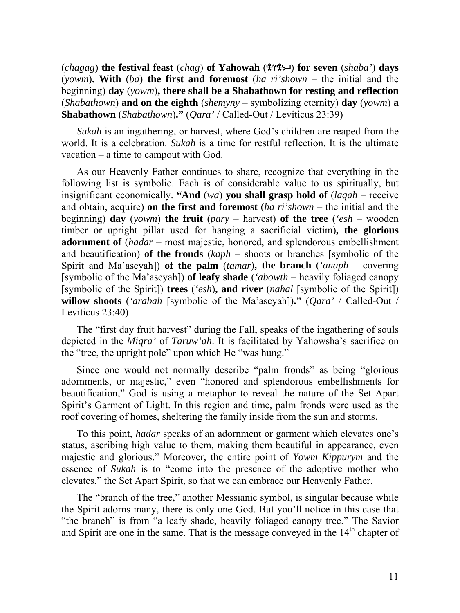(*chagag*) **the festival feast** (*chag*) **of Yahowah** () **for seven** (*shaba'*) **days**  (*yowm*)**. With** (*ba*) **the first and foremost** (*ha ri'shown* – the initial and the beginning) **day** (*yowm*)**, there shall be a Shabathown for resting and reflection** (*Shabathown*) **and on the eighth** (*shemyny* – symbolizing eternity) **day** (*yowm*) **a Shabathown** (*Shabathown*)**."** (*Qara'* / Called-Out / Leviticus 23:39)

*Sukah* is an ingathering, or harvest, where God's children are reaped from the world. It is a celebration. *Sukah* is a time for restful reflection. It is the ultimate vacation – a time to campout with God.

As our Heavenly Father continues to share, recognize that everything in the following list is symbolic. Each is of considerable value to us spiritually, but insignificant economically. **"And** (*wa*) **you shall grasp hold of** (*laqah* – receive and obtain, acquire) **on the first and foremost** (*ha ri'shown* – the initial and the beginning) **day** (*yowm*) **the fruit** (*pary* – harvest) **of the tree** (*'esh* – wooden timber or upright pillar used for hanging a sacrificial victim)**, the glorious adornment of** (*hadar* – most majestic, honored, and splendorous embellishment and beautification) **of the fronds** (*kaph* – shoots or branches [symbolic of the Spirit and Ma'aseyah]) **of the palm** (*tamar*)**, the branch** (*'anaph* – covering [symbolic of the Ma'aseyah]) **of leafy shade** (*'abowth* – heavily foliaged canopy [symbolic of the Spirit]) **trees** (*'esh*)**, and river** (*nahal* [symbolic of the Spirit]) **willow shoots** (*'arabah* [symbolic of the Ma'aseyah])**."** (*Qara'* / Called-Out / Leviticus 23:40)

The "first day fruit harvest" during the Fall, speaks of the ingathering of souls depicted in the *Miqra'* of *Taruw'ah*. It is facilitated by Yahowsha's sacrifice on the "tree, the upright pole" upon which He "was hung."

Since one would not normally describe "palm fronds" as being "glorious adornments, or majestic," even "honored and splendorous embellishments for beautification," God is using a metaphor to reveal the nature of the Set Apart Spirit's Garment of Light. In this region and time, palm fronds were used as the roof covering of homes, sheltering the family inside from the sun and storms.

To this point, *hadar* speaks of an adornment or garment which elevates one's status, ascribing high value to them, making them beautiful in appearance, even majestic and glorious." Moreover, the entire point of *Yowm Kippurym* and the essence of *Sukah* is to "come into the presence of the adoptive mother who elevates," the Set Apart Spirit, so that we can embrace our Heavenly Father.

The "branch of the tree," another Messianic symbol, is singular because while the Spirit adorns many, there is only one God. But you'll notice in this case that "the branch" is from "a leafy shade, heavily foliaged canopy tree." The Savior and Spirit are one in the same. That is the message conveyed in the  $14<sup>th</sup>$  chapter of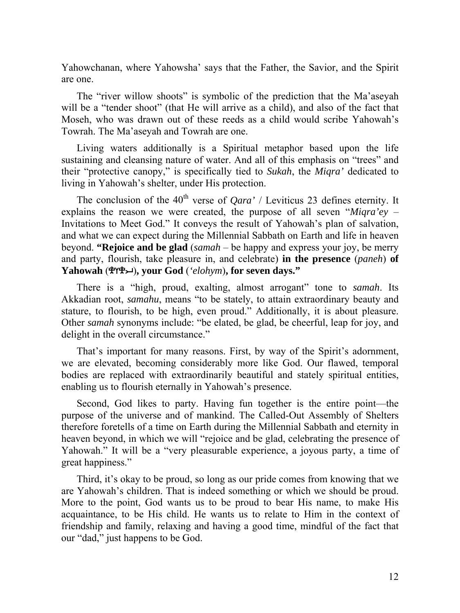Yahowchanan, where Yahowsha' says that the Father, the Savior, and the Spirit are one.

The "river willow shoots" is symbolic of the prediction that the Ma'aseyah will be a "tender shoot" (that He will arrive as a child), and also of the fact that Moseh, who was drawn out of these reeds as a child would scribe Yahowah's Towrah. The Ma'aseyah and Towrah are one.

Living waters additionally is a Spiritual metaphor based upon the life sustaining and cleansing nature of water. And all of this emphasis on "trees" and their "protective canopy," is specifically tied to *Sukah*, the *Miqra'* dedicated to living in Yahowah's shelter, under His protection.

The conclusion of the  $40<sup>th</sup>$  verse of *Qara'* / Leviticus 23 defines eternity. It explains the reason we were created, the purpose of all seven "*Miqra'ey* – Invitations to Meet God." It conveys the result of Yahowah's plan of salvation, and what we can expect during the Millennial Sabbath on Earth and life in heaven beyond. **"Rejoice and be glad** (*samah* – be happy and express your joy, be merry and party, flourish, take pleasure in, and celebrate) **in the presence** (*paneh*) **of Yahowah** ()**, your God** (*'elohym*)**, for seven days."**

There is a "high, proud, exalting, almost arrogant" tone to *samah*. Its Akkadian root, *samahu*, means "to be stately, to attain extraordinary beauty and stature, to flourish, to be high, even proud." Additionally, it is about pleasure. Other *samah* synonyms include: "be elated, be glad, be cheerful, leap for joy, and delight in the overall circumstance."

That's important for many reasons. First, by way of the Spirit's adornment, we are elevated, becoming considerably more like God. Our flawed, temporal bodies are replaced with extraordinarily beautiful and stately spiritual entities, enabling us to flourish eternally in Yahowah's presence.

Second, God likes to party. Having fun together is the entire point—the purpose of the universe and of mankind. The Called-Out Assembly of Shelters therefore foretells of a time on Earth during the Millennial Sabbath and eternity in heaven beyond, in which we will "rejoice and be glad, celebrating the presence of Yahowah." It will be a "very pleasurable experience, a joyous party, a time of great happiness."

Third, it's okay to be proud, so long as our pride comes from knowing that we are Yahowah's children. That is indeed something or which we should be proud. More to the point, God wants us to be proud to bear His name, to make His acquaintance, to be His child. He wants us to relate to Him in the context of friendship and family, relaxing and having a good time, mindful of the fact that our "dad," just happens to be God.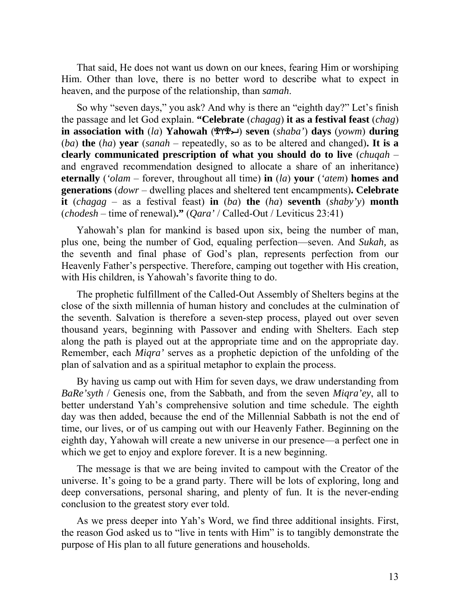That said, He does not want us down on our knees, fearing Him or worshiping Him. Other than love, there is no better word to describe what to expect in heaven, and the purpose of the relationship, than *samah*.

So why "seven days," you ask? And why is there an "eighth day?" Let's finish the passage and let God explain. **"Celebrate** (*chagag*) **it as a festival feast** (*chag*) **in association with** (*la*) **Yahowah**  $(\mathbb{R}^n \mathbb{R}^d)$  seven (*shaba'*) **days** (*yowm*) **during** (*ba*) **the** (*ha*) **year** (*sanah* – repeatedly, so as to be altered and changed)**. It is a clearly communicated prescription of what you should do to live** (*chuqah* – and engraved recommendation designed to allocate a share of an inheritance) **eternally** (*'olam* – forever, throughout all time) **in** (*la*) **your** (*'atem*) **homes and generations** (*dowr* – dwelling places and sheltered tent encampments)**. Celebrate it** (*chagag* – as a festival feast) **in** (*ba*) **the** (*ha*) **seventh** (*shaby'y*) **month** (*chodesh* – time of renewal)**."** (*Qara'* / Called-Out / Leviticus 23:41)

Yahowah's plan for mankind is based upon six, being the number of man, plus one, being the number of God, equaling perfection—seven. And *Sukah,* as the seventh and final phase of God's plan, represents perfection from our Heavenly Father's perspective. Therefore, camping out together with His creation, with His children, is Yahowah's favorite thing to do.

The prophetic fulfillment of the Called-Out Assembly of Shelters begins at the close of the sixth millennia of human history and concludes at the culmination of the seventh. Salvation is therefore a seven-step process, played out over seven thousand years, beginning with Passover and ending with Shelters. Each step along the path is played out at the appropriate time and on the appropriate day. Remember, each *Miqra'* serves as a prophetic depiction of the unfolding of the plan of salvation and as a spiritual metaphor to explain the process.

By having us camp out with Him for seven days, we draw understanding from *BaRe'syth* / Genesis one, from the Sabbath, and from the seven *Miqra'ey*, all to better understand Yah's comprehensive solution and time schedule. The eighth day was then added, because the end of the Millennial Sabbath is not the end of time, our lives, or of us camping out with our Heavenly Father. Beginning on the eighth day, Yahowah will create a new universe in our presence—a perfect one in which we get to enjoy and explore forever. It is a new beginning.

The message is that we are being invited to campout with the Creator of the universe. It's going to be a grand party. There will be lots of exploring, long and deep conversations, personal sharing, and plenty of fun. It is the never-ending conclusion to the greatest story ever told.

As we press deeper into Yah's Word, we find three additional insights. First, the reason God asked us to "live in tents with Him" is to tangibly demonstrate the purpose of His plan to all future generations and households.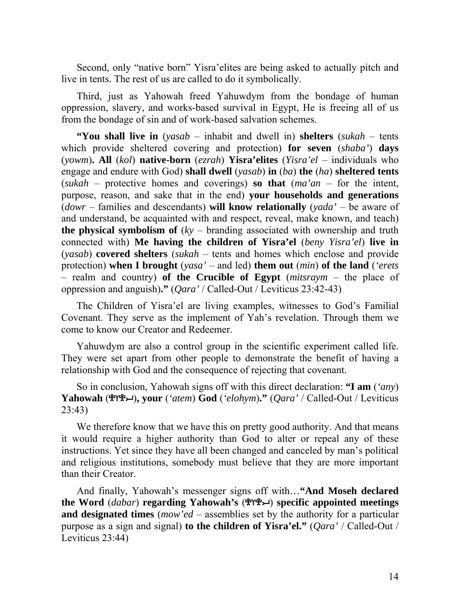Second, only "native born" Yisra'elites are being asked to actually pitch and live in tents. The rest of us are called to do it symbolically.

Third, just as Yahowah freed Yahuwdym from the bondage of human oppression, slavery, and works-based survival in Egypt, He is freeing all of us from the bondage of sin and of work-based salvation schemes.

**"You shall live in** (*yasab* – inhabit and dwell in) **shelters** (*sukah* – tents which provide sheltered covering and protection) **for seven** (*shaba'*) **days** (*yowm*)**. All** (*kol*) **native-born** (*ezrah*) **Yisra'elites** (*Yisra'el* – individuals who engage and endure with God) **shall dwell** (*yasab*) **in** (*ba*) **the** (*ha*) **sheltered tents**  (*sukah* – protective homes and coverings) **so that** (*ma'an* – for the intent, purpose, reason, and sake that in the end) **your households and generations** (*dowr* – families and descendants) **will know relationally** (*yada'* – be aware of and understand, be acquainted with and respect, reveal, make known, and teach) **the physical symbolism of** (*ky* – branding associated with ownership and truth connected with) **Me having the children of Yisra'el** (*beny Yisra'el*) **live in** (*yasab*) **covered shelters** (*sukah* – tents and homes which enclose and provide protection) **when I brought** (*yasa'* – and led) **them out** (*min*) **of the land** (*'erets* – realm and country) **of the Crucible of Egypt** (*mitsraym* – the place of oppression and anguish)**."** (*Qara'* / Called-Out / Leviticus 23:42-43)

The Children of Yisra'el are living examples, witnesses to God's Familial Covenant. They serve as the implement of Yah's revelation. Through them we come to know our Creator and Redeemer.

Yahuwdym are also a control group in the scientific experiment called life. They were set apart from other people to demonstrate the benefit of having a relationship with God and the consequence of rejecting that covenant.

So in conclusion, Yahowah signs off with this direct declaration: **"I am** (*'any*) **Yahowah** ()**, your** (*'atem*) **God** (*'elohym*)**."** (*Qara'* / Called-Out / Leviticus 23:43)

We therefore know that we have this on pretty good authority. And that means it would require a higher authority than God to alter or repeal any of these instructions. Yet since they have all been changed and canceled by man's political and religious institutions, somebody must believe that they are more important than their Creator.

And finally, Yahowah's messenger signs off with…**"And Moseh declared the Word** (*dabar*) **regarding Yahowah's** () **specific appointed meetings and designated times** (*mow'ed* – assemblies set by the authority for a particular purpose as a sign and signal) **to the children of Yisra'el."** (*Qara'* / Called-Out / Leviticus 23:44)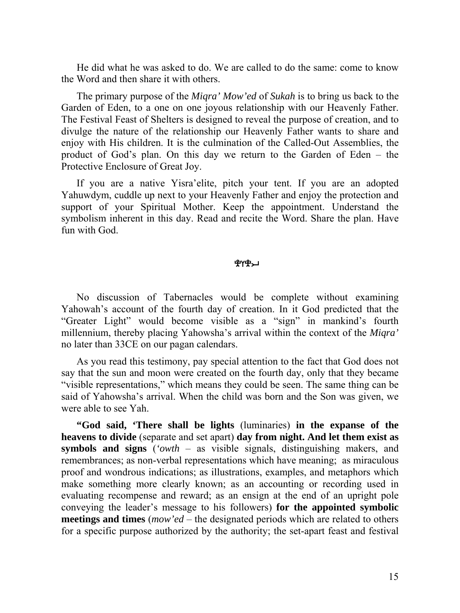He did what he was asked to do. We are called to do the same: come to know the Word and then share it with others.

The primary purpose of the *Miqra' Mow'ed* of *Sukah* is to bring us back to the Garden of Eden, to a one on one joyous relationship with our Heavenly Father. The Festival Feast of Shelters is designed to reveal the purpose of creation, and to divulge the nature of the relationship our Heavenly Father wants to share and enjoy with His children. It is the culmination of the Called-Out Assemblies, the product of God's plan. On this day we return to the Garden of Eden – the Protective Enclosure of Great Joy.

If you are a native Yisra'elite, pitch your tent. If you are an adopted Yahuwdym, cuddle up next to your Heavenly Father and enjoy the protection and support of your Spiritual Mother. Keep the appointment. Understand the symbolism inherent in this day. Read and recite the Word. Share the plan. Have fun with God.

## ቝለሔገ

No discussion of Tabernacles would be complete without examining Yahowah's account of the fourth day of creation. In it God predicted that the "Greater Light" would become visible as a "sign" in mankind's fourth millennium, thereby placing Yahowsha's arrival within the context of the *Miqra'* no later than 33CE on our pagan calendars.

As you read this testimony, pay special attention to the fact that God does not say that the sun and moon were created on the fourth day, only that they became "visible representations," which means they could be seen. The same thing can be said of Yahowsha's arrival. When the child was born and the Son was given, we were able to see Yah.

**"God said, 'There shall be lights** (luminaries) **in the expanse of the heavens to divide** (separate and set apart) **day from night. And let them exist as symbols and signs** (*'owth* – as visible signals, distinguishing makers, and remembrances; as non-verbal representations which have meaning; as miraculous proof and wondrous indications; as illustrations, examples, and metaphors which make something more clearly known; as an accounting or recording used in evaluating recompense and reward; as an ensign at the end of an upright pole conveying the leader's message to his followers) **for the appointed symbolic meetings and times** (*mow'ed* – the designated periods which are related to others for a specific purpose authorized by the authority; the set-apart feast and festival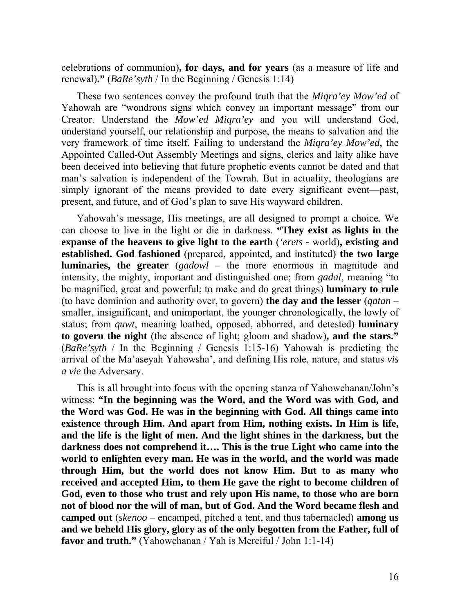celebrations of communion)**, for days, and for years** (as a measure of life and renewal)**."** (*BaRe'syth* / In the Beginning / Genesis 1:14)

These two sentences convey the profound truth that the *Miqra'ey Mow'ed* of Yahowah are "wondrous signs which convey an important message" from our Creator. Understand the *Mow'ed Miqra'ey* and you will understand God, understand yourself, our relationship and purpose, the means to salvation and the very framework of time itself. Failing to understand the *Miqra'ey Mow'ed*, the Appointed Called-Out Assembly Meetings and signs, clerics and laity alike have been deceived into believing that future prophetic events cannot be dated and that man's salvation is independent of the Towrah. But in actuality, theologians are simply ignorant of the means provided to date every significant event—past, present, and future, and of God's plan to save His wayward children.

Yahowah's message, His meetings, are all designed to prompt a choice. We can choose to live in the light or die in darkness. **"They exist as lights in the expanse of the heavens to give light to the earth** (*'erets -* world)**, existing and established. God fashioned** (prepared, appointed, and instituted) **the two large luminaries, the greater** (*gadowl* – the more enormous in magnitude and intensity, the mighty, important and distinguished one; from *gadal*, meaning "to be magnified, great and powerful; to make and do great things) **luminary to rule**  (to have dominion and authority over, to govern) **the day and the lesser** (*qatan* – smaller, insignificant, and unimportant, the younger chronologically, the lowly of status; from *quwt*, meaning loathed, opposed, abhorred, and detested) **luminary to govern the night** (the absence of light; gloom and shadow)**, and the stars."**  (*BaRe'syth* / In the Beginning / Genesis 1:15-16) Yahowah is predicting the arrival of the Ma'aseyah Yahowsha', and defining His role, nature, and status *vis a vie* the Adversary.

This is all brought into focus with the opening stanza of Yahowchanan/John's witness: **"In the beginning was the Word, and the Word was with God, and the Word was God. He was in the beginning with God. All things came into existence through Him. And apart from Him, nothing exists. In Him is life, and the life is the light of men. And the light shines in the darkness, but the darkness does not comprehend it…. This is the true Light who came into the world to enlighten every man. He was in the world, and the world was made through Him, but the world does not know Him. But to as many who received and accepted Him, to them He gave the right to become children of God, even to those who trust and rely upon His name, to those who are born not of blood nor the will of man, but of God. And the Word became flesh and camped out** (*skenoo* – encamped, pitched a tent, and thus tabernacled) **among us and we beheld His glory, glory as of the only begotten from the Father, full of favor and truth."** (Yahowchanan / Yah is Merciful / John 1:1-14)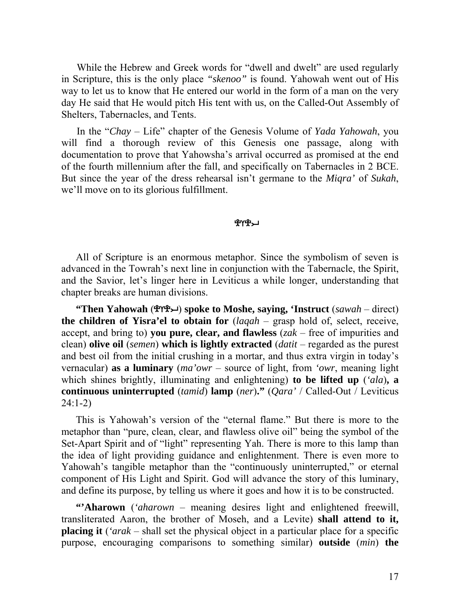While the Hebrew and Greek words for "dwell and dwelt" are used regularly in Scripture, this is the only place *"skenoo"* is found. Yahowah went out of His way to let us to know that He entered our world in the form of a man on the very day He said that He would pitch His tent with us, on the Called-Out Assembly of Shelters, Tabernacles, and Tents.

In the "*Chay* – Life" chapter of the Genesis Volume of *Yada Yahowah*, you will find a thorough review of this Genesis one passage, along with documentation to prove that Yahowsha's arrival occurred as promised at the end of the fourth millennium after the fall, and specifically on Tabernacles in 2 BCE. But since the year of the dress rehearsal isn't germane to the *Miqra'* of *Sukah*, we'll move on to its glorious fulfillment.

#### କ୍ୟୁନ

All of Scripture is an enormous metaphor. Since the symbolism of seven is advanced in the Towrah's next line in conjunction with the Tabernacle, the Spirit, and the Savior, let's linger here in Leviticus a while longer, understanding that chapter breaks are human divisions.

**"Then Yahowah** () **spoke to Moshe, saying, 'Instruct** (*sawah* – direct) **the children of Yisra'el to obtain for** (*laqah* – grasp hold of, select, receive, accept, and bring to) **you pure, clear, and flawless** (*zak* – free of impurities and clean) **olive oil** (*semen*) **which is lightly extracted** (*datit* – regarded as the purest and best oil from the initial crushing in a mortar, and thus extra virgin in today's vernacular) **as a luminary** (*ma'owr* – source of light, from *'owr*, meaning light which shines brightly, illuminating and enlightening) **to be lifted up** (*'ala*)**, a continuous uninterrupted** (*tamid*) **lamp** (*ner*)**."** (*Qara'* / Called-Out / Leviticus 24:1-2)

This is Yahowah's version of the "eternal flame." But there is more to the metaphor than "pure, clean, clear, and flawless olive oil" being the symbol of the Set-Apart Spirit and of "light" representing Yah. There is more to this lamp than the idea of light providing guidance and enlightenment. There is even more to Yahowah's tangible metaphor than the "continuously uninterrupted," or eternal component of His Light and Spirit. God will advance the story of this luminary, and define its purpose, by telling us where it goes and how it is to be constructed.

**"Aharown** (*'aharown* – meaning desires light and enlightened freewill, transliterated Aaron, the brother of Moseh, and a Levite) **shall attend to it, placing it** (*'arak* – shall set the physical object in a particular place for a specific purpose, encouraging comparisons to something similar) **outside** (*min*) **the**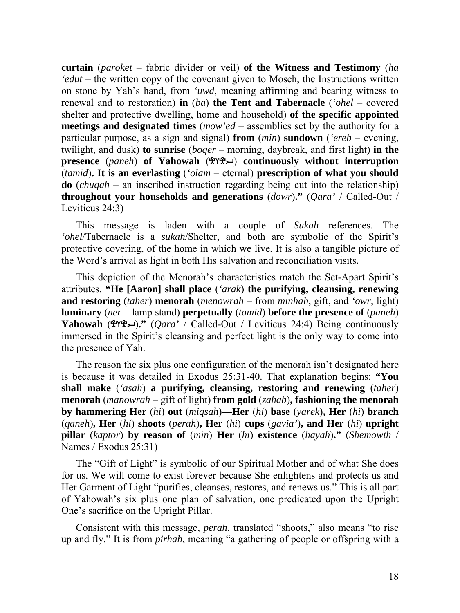**curtain** (*paroket* – fabric divider or veil) **of the Witness and Testimony** (*ha 'edut* – the written copy of the covenant given to Moseh, the Instructions written on stone by Yah's hand, from *'uwd*, meaning affirming and bearing witness to renewal and to restoration) **in** (*ba*) **the Tent and Tabernacle** (*'ohel* – covered shelter and protective dwelling, home and household) **of the specific appointed meetings and designated times** (*mow'ed* – assemblies set by the authority for a particular purpose, as a sign and signal) **from** (*min*) **sundown** (*'ereb* – evening, twilight, and dusk) **to sunrise** (*boqer* – morning, daybreak, and first light) **in the presence** (*paneh*) **of Yahowah** () **continuously without interruption** (*tamid*)**. It is an everlasting** (*'olam* – eternal) **prescription of what you should do** (*chuqah* – an inscribed instruction regarding being cut into the relationship) **throughout your households and generations** (*dowr*)**."** (*Qara'* / Called-Out / Leviticus 24:3)

This message is laden with a couple of *Sukah* references. The *'ohel*/Tabernacle is a *sukah*/Shelter, and both are symbolic of the Spirit's protective covering, of the home in which we live. It is also a tangible picture of the Word's arrival as light in both His salvation and reconciliation visits.

This depiction of the Menorah's characteristics match the Set-Apart Spirit's attributes. **"He [Aaron] shall place** (*'arak*) **the purifying, cleansing, renewing and restoring** (*taher*) **menorah** (*menowrah* – from *minhah*, gift, and *'owr*, light) **luminary** (*ner* – lamp stand) **perpetually** (*tamid*) **before the presence of** (*paneh*) **Yahowah** ()**."** (*Qara'* / Called-Out / Leviticus 24:4) Being continuously immersed in the Spirit's cleansing and perfect light is the only way to come into the presence of Yah.

The reason the six plus one configuration of the menorah isn't designated here is because it was detailed in Exodus 25:31-40. That explanation begins: **"You shall make** (*'asah*) **a purifying, cleansing, restoring and renewing** (*taher*) **menorah** (*manowrah* – gift of light) **from gold** (*zahab*)**, fashioning the menorah by hammering Her** (*hi*) **out** (*miqsah*)**—Her** (*hi*) **base** (*yarek*)**, Her** (*hi*) **branch** (*qaneh*)**, Her** (*hi*) **shoots** (*perah*)**, Her** (*hi*) **cups** (*gavia'*)**, and Her** (*hi*) **upright pillar** (*kaptor*) **by reason of** (*min*) **Her** (*hi*) **existence** (*hayah*)**."** (*Shemowth* / Names / Exodus 25:31)

The "Gift of Light" is symbolic of our Spiritual Mother and of what She does for us. We will come to exist forever because She enlightens and protects us and Her Garment of Light "purifies, cleanses, restores, and renews us." This is all part of Yahowah's six plus one plan of salvation, one predicated upon the Upright One's sacrifice on the Upright Pillar.

Consistent with this message, *perah*, translated "shoots," also means "to rise up and fly." It is from *pirhah*, meaning "a gathering of people or offspring with a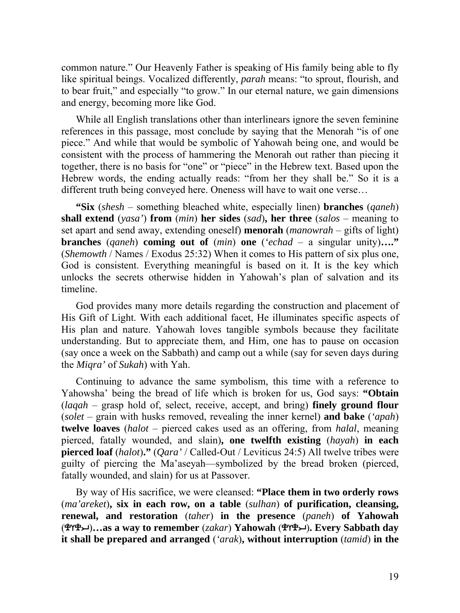common nature." Our Heavenly Father is speaking of His family being able to fly like spiritual beings. Vocalized differently, *parah* means: "to sprout, flourish, and to bear fruit," and especially "to grow." In our eternal nature, we gain dimensions and energy, becoming more like God.

While all English translations other than interlinears ignore the seven feminine references in this passage, most conclude by saying that the Menorah "is of one piece." And while that would be symbolic of Yahowah being one, and would be consistent with the process of hammering the Menorah out rather than piecing it together, there is no basis for "one" or "piece" in the Hebrew text. Based upon the Hebrew words, the ending actually reads: "from her they shall be." So it is a different truth being conveyed here. Oneness will have to wait one verse…

**"Six** (*shesh* – something bleached white, especially linen) **branches** (*qaneh*) **shall extend** (*yasa'*) **from** (*min*) **her sides** (*sad*)**, her three** (*salos* – meaning to set apart and send away, extending oneself) **menorah** (*manowrah* – gifts of light) **branches** (*qaneh*) **coming out of** (*min*) **one** (*'echad* – a singular unity)**…."** (*Shemowth* / Names / Exodus 25:32) When it comes to His pattern of six plus one, God is consistent. Everything meaningful is based on it. It is the key which unlocks the secrets otherwise hidden in Yahowah's plan of salvation and its timeline.

God provides many more details regarding the construction and placement of His Gift of Light. With each additional facet, He illuminates specific aspects of His plan and nature. Yahowah loves tangible symbols because they facilitate understanding. But to appreciate them, and Him, one has to pause on occasion (say once a week on the Sabbath) and camp out a while (say for seven days during the *Miqra'* of *Sukah*) with Yah.

Continuing to advance the same symbolism, this time with a reference to Yahowsha' being the bread of life which is broken for us, God says: **"Obtain**  (*laqah* – grasp hold of, select, receive, accept, and bring) **finely ground flour**  (*solet* – grain with husks removed, revealing the inner kernel) **and bake** (*'apah*) **twelve loaves** (*halot* – pierced cakes used as an offering, from *halal*, meaning pierced, fatally wounded, and slain)**, one twelfth existing** (*hayah*) **in each pierced loaf** (*halot*)**."** (*Qara'* / Called-Out / Leviticus 24:5) All twelve tribes were guilty of piercing the Ma'aseyah—symbolized by the bread broken (pierced, fatally wounded, and slain) for us at Passover.

By way of His sacrifice, we were cleansed: **"Place them in two orderly rows** (*ma'areket*)**, six in each row, on a table** (*sulhan*) **of purification, cleansing, renewal, and restoration** (*taher*) **in the presence** (*paneh*) **of Yahowah**  ()**…as a way to remember** (*zakar*) **Yahowah** ()**. Every Sabbath day it shall be prepared and arranged** (*'arak*)**, without interruption** (*tamid*) **in the**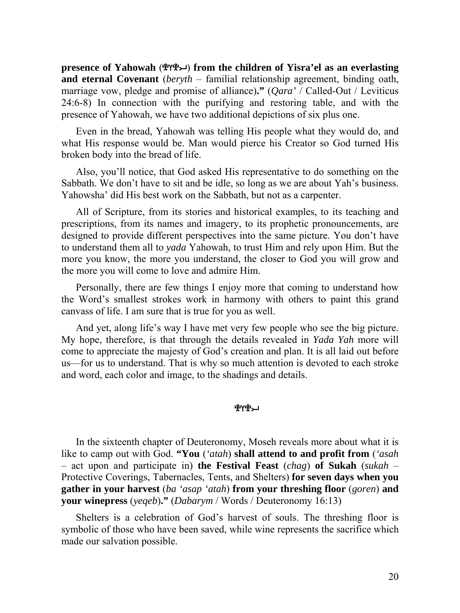**presence of Yahowah** () **from the children of Yisra'el as an everlasting and eternal Covenant** (*beryth* – familial relationship agreement, binding oath, marriage vow, pledge and promise of alliance)**."** (*Qara'* / Called-Out / Leviticus 24:6-8) In connection with the purifying and restoring table, and with the presence of Yahowah, we have two additional depictions of six plus one.

Even in the bread, Yahowah was telling His people what they would do, and what His response would be. Man would pierce his Creator so God turned His broken body into the bread of life.

Also, you'll notice, that God asked His representative to do something on the Sabbath. We don't have to sit and be idle, so long as we are about Yah's business. Yahowsha' did His best work on the Sabbath, but not as a carpenter.

All of Scripture, from its stories and historical examples, to its teaching and prescriptions, from its names and imagery, to its prophetic pronouncements, are designed to provide different perspectives into the same picture. You don't have to understand them all to *yada* Yahowah, to trust Him and rely upon Him. But the more you know, the more you understand, the closer to God you will grow and the more you will come to love and admire Him.

Personally, there are few things I enjoy more that coming to understand how the Word's smallest strokes work in harmony with others to paint this grand canvass of life. I am sure that is true for you as well.

And yet, along life's way I have met very few people who see the big picture. My hope, therefore, is that through the details revealed in *Yada Yah* more will come to appreciate the majesty of God's creation and plan. It is all laid out before us—for us to understand. That is why so much attention is devoted to each stroke and word, each color and image, to the shadings and details.

## ቔለኤን

In the sixteenth chapter of Deuteronomy, Moseh reveals more about what it is like to camp out with God. **"You** (*'atah*) **shall attend to and profit from** (*'asah* – act upon and participate in) **the Festival Feast** (*chag*) **of Sukah** (*sukah* – Protective Coverings, Tabernacles, Tents, and Shelters) **for seven days when you gather in your harvest** (*ba 'asap 'atah*) **from your threshing floor** (*goren*) **and your winepress** (*yeqeb*)**."** (*Dabarym* / Words / Deuteronomy 16:13)

Shelters is a celebration of God's harvest of souls. The threshing floor is symbolic of those who have been saved, while wine represents the sacrifice which made our salvation possible.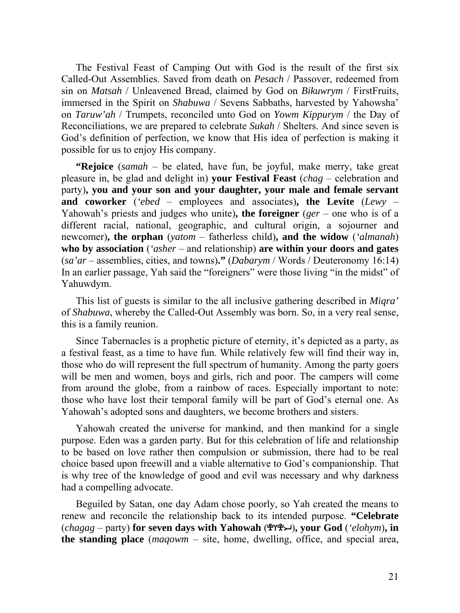The Festival Feast of Camping Out with God is the result of the first six Called-Out Assemblies. Saved from death on *Pesach* / Passover, redeemed from sin on *Matsah* / Unleavened Bread, claimed by God on *Bikuwrym* / FirstFruits, immersed in the Spirit on *Shabuwa* / Sevens Sabbaths, harvested by Yahowsha' on *Taruw'ah* / Trumpets, reconciled unto God on *Yowm Kippurym* / the Day of Reconciliations, we are prepared to celebrate *Sukah* / Shelters. And since seven is God's definition of perfection, we know that His idea of perfection is making it possible for us to enjoy His company.

**"Rejoice** (*samah* – be elated, have fun, be joyful, make merry, take great pleasure in, be glad and delight in) **your Festival Feast** (*chag* – celebration and party)**, you and your son and your daughter, your male and female servant and coworker** (*'ebed* – employees and associates)**, the Levite** (*Lewy* – Yahowah's priests and judges who unite)**, the foreigner** (*ger* – one who is of a different racial, national, geographic, and cultural origin, a sojourner and newcomer)**, the orphan** (*yatom* – fatherless child)**, and the widow** (*'almanah*) **who by association** (*'asher* – and relationship) **are within your doors and gates** (*sa'ar* – assemblies, cities, and towns)**."** (*Dabarym* / Words / Deuteronomy 16:14) In an earlier passage, Yah said the "foreigners" were those living "in the midst" of Yahuwdym.

This list of guests is similar to the all inclusive gathering described in *Miqra'* of *Shabuwa*, whereby the Called-Out Assembly was born. So, in a very real sense, this is a family reunion.

Since Tabernacles is a prophetic picture of eternity, it's depicted as a party, as a festival feast, as a time to have fun. While relatively few will find their way in, those who do will represent the full spectrum of humanity. Among the party goers will be men and women, boys and girls, rich and poor. The campers will come from around the globe, from a rainbow of races. Especially important to note: those who have lost their temporal family will be part of God's eternal one. As Yahowah's adopted sons and daughters, we become brothers and sisters.

Yahowah created the universe for mankind, and then mankind for a single purpose. Eden was a garden party. But for this celebration of life and relationship to be based on love rather then compulsion or submission, there had to be real choice based upon freewill and a viable alternative to God's companionship. That is why tree of the knowledge of good and evil was necessary and why darkness had a compelling advocate.

Beguiled by Satan, one day Adam chose poorly, so Yah created the means to renew and reconcile the relationship back to its intended purpose. **"Celebrate** (*chagag* – party) **for seven days with Yahowah** ()**, your God** (*'elohym*)**, in the standing place** (*maqowm* – site, home, dwelling, office, and special area,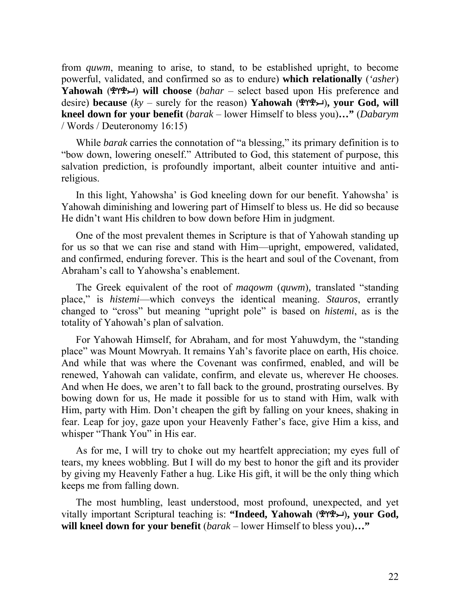from *quwm*, meaning to arise, to stand, to be established upright, to become powerful, validated, and confirmed so as to endure) **which relationally** (*'asher*) **Yahowah**  $(\mathcal{H} \mathcal{H} \mathcal{H})$  **will choose** (*bahar* – select based upon His preference and desire) **because** ( $ky$  – surely for the reason) **Yahowah** ( $\mathcal{P}Y\mathcal{P}\rightarrow$ ), your God, will **kneel down for your benefit** (*barak* – lower Himself to bless you)**…"** (*Dabarym* / Words / Deuteronomy 16:15)

While *barak* carries the connotation of "a blessing," its primary definition is to "bow down, lowering oneself." Attributed to God, this statement of purpose, this salvation prediction, is profoundly important, albeit counter intuitive and antireligious.

In this light, Yahowsha' is God kneeling down for our benefit. Yahowsha' is Yahowah diminishing and lowering part of Himself to bless us. He did so because He didn't want His children to bow down before Him in judgment.

One of the most prevalent themes in Scripture is that of Yahowah standing up for us so that we can rise and stand with Him—upright, empowered, validated, and confirmed, enduring forever. This is the heart and soul of the Covenant, from Abraham's call to Yahowsha's enablement.

The Greek equivalent of the root of *maqowm* (*quwm*)*,* translated "standing place," is *histemi*—which conveys the identical meaning. *Stauros*, errantly changed to "cross" but meaning "upright pole" is based on *histemi*, as is the totality of Yahowah's plan of salvation.

For Yahowah Himself, for Abraham, and for most Yahuwdym, the "standing place" was Mount Mowryah. It remains Yah's favorite place on earth, His choice. And while that was where the Covenant was confirmed, enabled, and will be renewed, Yahowah can validate, confirm, and elevate us, wherever He chooses. And when He does, we aren't to fall back to the ground, prostrating ourselves. By bowing down for us, He made it possible for us to stand with Him, walk with Him, party with Him. Don't cheapen the gift by falling on your knees, shaking in fear. Leap for joy, gaze upon your Heavenly Father's face, give Him a kiss, and whisper "Thank You" in His ear.

As for me, I will try to choke out my heartfelt appreciation; my eyes full of tears, my knees wobbling. But I will do my best to honor the gift and its provider by giving my Heavenly Father a hug. Like His gift, it will be the only thing which keeps me from falling down.

The most humbling, least understood, most profound, unexpected, and yet vitally important Scriptural teaching is: "Indeed, Yahowah (\*), your God, **will kneel down for your benefit** (*barak* – lower Himself to bless you)**…"**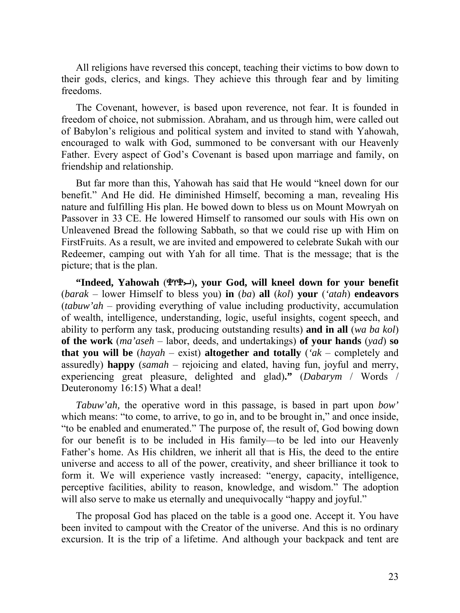All religions have reversed this concept, teaching their victims to bow down to their gods, clerics, and kings. They achieve this through fear and by limiting freedoms.

The Covenant, however, is based upon reverence, not fear. It is founded in freedom of choice, not submission. Abraham, and us through him, were called out of Babylon's religious and political system and invited to stand with Yahowah, encouraged to walk with God, summoned to be conversant with our Heavenly Father. Every aspect of God's Covenant is based upon marriage and family, on friendship and relationship.

But far more than this, Yahowah has said that He would "kneel down for our benefit." And He did. He diminished Himself, becoming a man, revealing His nature and fulfilling His plan. He bowed down to bless us on Mount Mowryah on Passover in 33 CE. He lowered Himself to ransomed our souls with His own on Unleavened Bread the following Sabbath, so that we could rise up with Him on FirstFruits. As a result, we are invited and empowered to celebrate Sukah with our Redeemer, camping out with Yah for all time. That is the message; that is the picture; that is the plan.

**"Indeed, Yahowah (4944), your God, will kneel down for your benefit** (*barak* – lower Himself to bless you) **in** (*ba*) **all** (*kol*) **your** (*'atah*) **endeavors** (*tabuw'ah* – providing everything of value including productivity, accumulation of wealth, intelligence, understanding, logic, useful insights, cogent speech, and ability to perform any task, producing outstanding results) **and in all** (*wa ba kol*) **of the work** (*ma'aseh* – labor, deeds, and undertakings) **of your hands** (*yad*) **so that you will be** (*hayah* – exist) **altogether and totally** (*'ak* – completely and assuredly) **happy** (*samah* – rejoicing and elated, having fun, joyful and merry, experiencing great pleasure, delighted and glad)**."** (*Dabarym* / Words / Deuteronomy 16:15) What a deal!

*Tabuw'ah,* the operative word in this passage, is based in part upon *bow'* which means: "to come, to arrive, to go in, and to be brought in," and once inside, "to be enabled and enumerated." The purpose of, the result of, God bowing down for our benefit is to be included in His family—to be led into our Heavenly Father's home. As His children, we inherit all that is His, the deed to the entire universe and access to all of the power, creativity, and sheer brilliance it took to form it. We will experience vastly increased: "energy, capacity, intelligence, perceptive facilities, ability to reason, knowledge, and wisdom." The adoption will also serve to make us eternally and unequivocally "happy and joyful."

The proposal God has placed on the table is a good one. Accept it. You have been invited to campout with the Creator of the universe. And this is no ordinary excursion. It is the trip of a lifetime. And although your backpack and tent are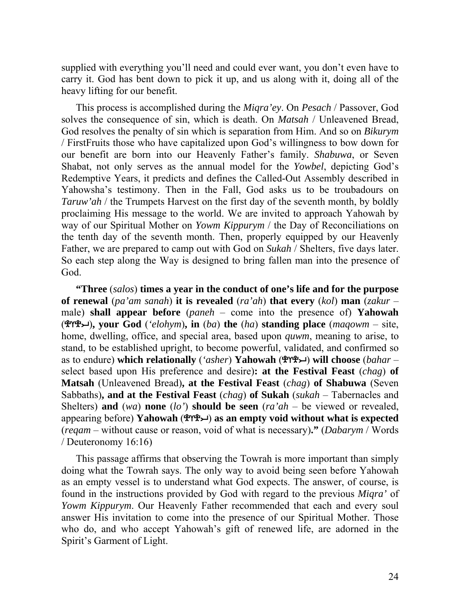supplied with everything you'll need and could ever want, you don't even have to carry it. God has bent down to pick it up, and us along with it, doing all of the heavy lifting for our benefit.

This process is accomplished during the *Miqra'ey*. On *Pesach* / Passover, God solves the consequence of sin, which is death. On *Matsah* / Unleavened Bread, God resolves the penalty of sin which is separation from Him. And so on *Bikurym* / FirstFruits those who have capitalized upon God's willingness to bow down for our benefit are born into our Heavenly Father's family. *Shabuwa*, or Seven Shabat, not only serves as the annual model for the *Yowbel*, depicting God's Redemptive Years, it predicts and defines the Called-Out Assembly described in Yahowsha's testimony. Then in the Fall, God asks us to be troubadours on *Taruw'ah* / the Trumpets Harvest on the first day of the seventh month, by boldly proclaiming His message to the world. We are invited to approach Yahowah by way of our Spiritual Mother on *Yowm Kippurym* / the Day of Reconciliations on the tenth day of the seventh month. Then, properly equipped by our Heavenly Father, we are prepared to camp out with God on *Sukah* / Shelters, five days later. So each step along the Way is designed to bring fallen man into the presence of God.

**"Three** (*salos*) **times a year in the conduct of one's life and for the purpose of renewal** (*pa'am sanah*) **it is revealed** (*ra'ah*) **that every** (*kol*) **man** (*zakur* – male) **shall appear before** (*paneh* – come into the presence of) **Yahowah**  ()**, your God** (*'elohym*)**, in** (*ba*) **the** (*ha*) **standing place** (*maqowm* – site, home, dwelling, office, and special area, based upon *quwm*, meaning to arise, to stand, to be established upright, to become powerful, validated, and confirmed so as to endure) **which relationally** (*'asher*) **Yahowah** () **will choose** (*bahar* – select based upon His preference and desire)**: at the Festival Feast** (*chag*) **of Matsah** (Unleavened Bread)**, at the Festival Feast** (*chag*) **of Shabuwa** (Seven Sabbaths)**, and at the Festival Feast** (*chag*) **of Sukah** (*sukah* – Tabernacles and Shelters) **and** (*wa*) **none** (*lo'*) **should be seen** (*ra'ah* – be viewed or revealed, appearing before) **Yahowah** () **as an empty void without what is expected** (*reqam* – without cause or reason, void of what is necessary)**."** (*Dabarym* / Words / Deuteronomy 16:16)

This passage affirms that observing the Towrah is more important than simply doing what the Towrah says. The only way to avoid being seen before Yahowah as an empty vessel is to understand what God expects. The answer, of course, is found in the instructions provided by God with regard to the previous *Miqra'* of *Yowm Kippurym*. Our Heavenly Father recommended that each and every soul answer His invitation to come into the presence of our Spiritual Mother. Those who do, and who accept Yahowah's gift of renewed life, are adorned in the Spirit's Garment of Light.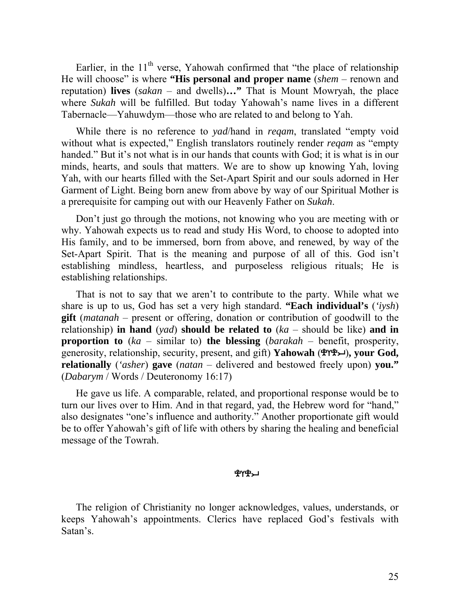Earlier, in the  $11<sup>th</sup>$  verse, Yahowah confirmed that "the place of relationship He will choose" is where **"His personal and proper name** (*shem* – renown and reputation) **lives** (*sakan* – and dwells)**…"** That is Mount Mowryah, the place where *Sukah* will be fulfilled. But today Yahowah's name lives in a different Tabernacle—Yahuwdym—those who are related to and belong to Yah.

While there is no reference to *yad*/hand in *reqam*, translated "empty void without what is expected," English translators routinely render *reqam* as "empty handed." But it's not what is in our hands that counts with God; it is what is in our minds, hearts, and souls that matters. We are to show up knowing Yah, loving Yah, with our hearts filled with the Set-Apart Spirit and our souls adorned in Her Garment of Light. Being born anew from above by way of our Spiritual Mother is a prerequisite for camping out with our Heavenly Father on *Sukah*.

Don't just go through the motions, not knowing who you are meeting with or why. Yahowah expects us to read and study His Word, to choose to adopted into His family, and to be immersed, born from above, and renewed, by way of the Set-Apart Spirit. That is the meaning and purpose of all of this. God isn't establishing mindless, heartless, and purposeless religious rituals; He is establishing relationships.

That is not to say that we aren't to contribute to the party. While what we share is up to us, God has set a very high standard. **"Each individual's** (*'iysh*) **gift** (*matanah* – present or offering, donation or contribution of goodwill to the relationship) **in hand** (*yad*) **should be related to** (*ka* – should be like) **and in proportion to** (*ka* – similar to) **the blessing** (*barakah* – benefit, prosperity, generosity, relationship, security, present, and gift) **Yahowah** ()**, your God, relationally** (*'asher*) **gave** (*natan* – delivered and bestowed freely upon) **you."** (*Dabarym* / Words / Deuteronomy 16:17)

He gave us life. A comparable, related, and proportional response would be to turn our lives over to Him. And in that regard, yad, the Hebrew word for "hand," also designates "one's influence and authority." Another proportionate gift would be to offer Yahowah's gift of life with others by sharing the healing and beneficial message of the Towrah.

#### ችሌት

The religion of Christianity no longer acknowledges, values, understands, or keeps Yahowah's appointments. Clerics have replaced God's festivals with Satan's.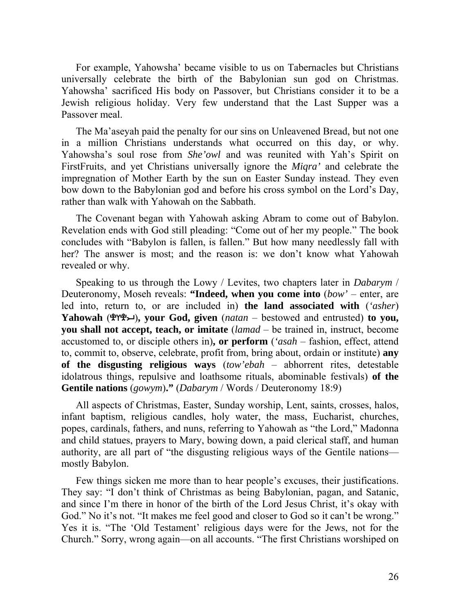For example, Yahowsha' became visible to us on Tabernacles but Christians universally celebrate the birth of the Babylonian sun god on Christmas. Yahowsha' sacrificed His body on Passover, but Christians consider it to be a Jewish religious holiday. Very few understand that the Last Supper was a Passover meal.

The Ma'aseyah paid the penalty for our sins on Unleavened Bread, but not one in a million Christians understands what occurred on this day, or why. Yahowsha's soul rose from *She'owl* and was reunited with Yah's Spirit on FirstFruits, and yet Christians universally ignore the *Miqra'* and celebrate the impregnation of Mother Earth by the sun on Easter Sunday instead. They even bow down to the Babylonian god and before his cross symbol on the Lord's Day, rather than walk with Yahowah on the Sabbath.

The Covenant began with Yahowah asking Abram to come out of Babylon. Revelation ends with God still pleading: "Come out of her my people." The book concludes with "Babylon is fallen, is fallen." But how many needlessly fall with her? The answer is most; and the reason is: we don't know what Yahowah revealed or why.

Speaking to us through the Lowy / Levites, two chapters later in *Dabarym* / Deuteronomy, Moseh reveals: **"Indeed, when you come into** (*bow'* – enter, are led into, return to, or are included in) **the land associated with** (*'asher*) **Yahowah** ()**, your God, given** (*natan* – bestowed and entrusted) **to you, you shall not accept, teach, or imitate** (*lamad* – be trained in, instruct, become accustomed to, or disciple others in)**, or perform** (*'asah* – fashion, effect, attend to, commit to, observe, celebrate, profit from, bring about, ordain or institute) **any of the disgusting religious ways** (*tow'ebah* – abhorrent rites, detestable idolatrous things, repulsive and loathsome rituals, abominable festivals) **of the Gentile nations** (*gowym*)**."** (*Dabarym* / Words / Deuteronomy 18:9)

All aspects of Christmas, Easter, Sunday worship, Lent, saints, crosses, halos, infant baptism, religious candles, holy water, the mass, Eucharist, churches, popes, cardinals, fathers, and nuns, referring to Yahowah as "the Lord," Madonna and child statues, prayers to Mary, bowing down, a paid clerical staff, and human authority, are all part of "the disgusting religious ways of the Gentile nations mostly Babylon.

Few things sicken me more than to hear people's excuses, their justifications. They say: "I don't think of Christmas as being Babylonian, pagan, and Satanic, and since I'm there in honor of the birth of the Lord Jesus Christ, it's okay with God." No it's not. "It makes me feel good and closer to God so it can't be wrong." Yes it is. "The 'Old Testament' religious days were for the Jews, not for the Church." Sorry, wrong again—on all accounts. "The first Christians worshiped on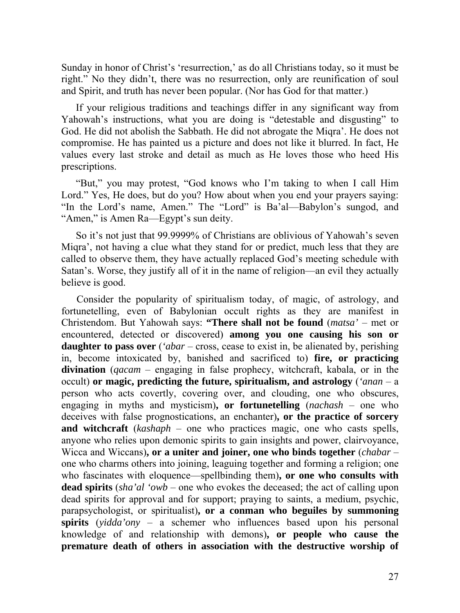Sunday in honor of Christ's 'resurrection,' as do all Christians today, so it must be right." No they didn't, there was no resurrection, only are reunification of soul and Spirit, and truth has never been popular. (Nor has God for that matter.)

If your religious traditions and teachings differ in any significant way from Yahowah's instructions, what you are doing is "detestable and disgusting" to God. He did not abolish the Sabbath. He did not abrogate the Miqra'. He does not compromise. He has painted us a picture and does not like it blurred. In fact, He values every last stroke and detail as much as He loves those who heed His prescriptions.

"But," you may protest, "God knows who I'm taking to when I call Him Lord." Yes, He does, but do you? How about when you end your prayers saying: "In the Lord's name, Amen." The "Lord" is Ba'al—Babylon's sungod, and "Amen," is Amen Ra—Egypt's sun deity.

So it's not just that 99.9999% of Christians are oblivious of Yahowah's seven Miqra', not having a clue what they stand for or predict, much less that they are called to observe them, they have actually replaced God's meeting schedule with Satan's. Worse, they justify all of it in the name of religion—an evil they actually believe is good.

Consider the popularity of spiritualism today, of magic, of astrology, and fortunetelling, even of Babylonian occult rights as they are manifest in Christendom. But Yahowah says: **"There shall not be found** (*matsa'* – met or encountered, detected or discovered) **among you one causing his son or daughter to pass over** (*'abar* – cross, cease to exist in, be alienated by, perishing in, become intoxicated by, banished and sacrificed to) **fire, or practicing divination** (*qacam* – engaging in false prophecy, witchcraft, kabala, or in the occult) **or magic, predicting the future, spiritualism, and astrology** (*'anan* – a person who acts covertly, covering over, and clouding, one who obscures, engaging in myths and mysticism)**, or fortunetelling** (*nachash* – one who deceives with false prognostications, an enchanter)**, or the practice of sorcery and witchcraft** (*kashaph* – one who practices magic, one who casts spells, anyone who relies upon demonic spirits to gain insights and power, clairvoyance, Wicca and Wiccans)**, or a uniter and joiner, one who binds together** (*chabar* – one who charms others into joining, leaguing together and forming a religion; one who fascinates with eloquence—spellbinding them)**, or one who consults with dead spirits** (*sha'al 'owb* – one who evokes the deceased; the act of calling upon dead spirits for approval and for support; praying to saints, a medium, psychic, parapsychologist, or spiritualist)**, or a conman who beguiles by summoning spirits** (*yidda'ony* – a schemer who influences based upon his personal knowledge of and relationship with demons)**, or people who cause the premature death of others in association with the destructive worship of**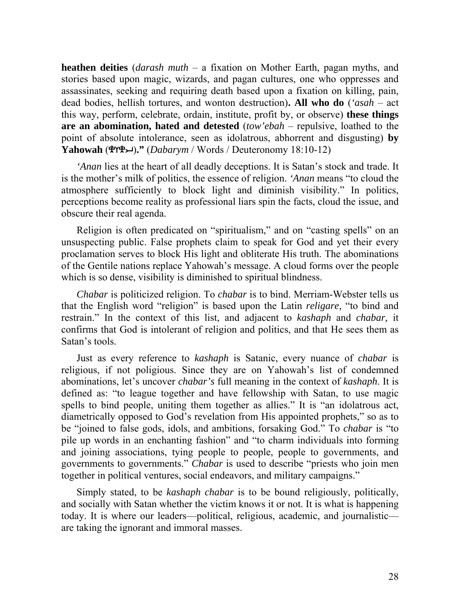**heathen deities** (*darash muth* – a fixation on Mother Earth, pagan myths, and stories based upon magic, wizards, and pagan cultures, one who oppresses and assassinates, seeking and requiring death based upon a fixation on killing, pain, dead bodies, hellish tortures, and wonton destruction)**. All who do** (*'asah* – act this way, perform, celebrate, ordain, institute, profit by, or observe) **these things are an abomination, hated and detested** (*tow'ebah* – repulsive, loathed to the point of absolute intolerance, seen as idolatrous, abhorrent and disgusting) **by Yahowah** ()**."** (*Dabarym* / Words / Deuteronomy 18:10-12)

*'Anan* lies at the heart of all deadly deceptions. It is Satan's stock and trade. It is the mother's milk of politics, the essence of religion. *'Anan* means "to cloud the atmosphere sufficiently to block light and diminish visibility." In politics, perceptions become reality as professional liars spin the facts, cloud the issue, and obscure their real agenda.

Religion is often predicated on "spiritualism," and on "casting spells" on an unsuspecting public. False prophets claim to speak for God and yet their every proclamation serves to block His light and obliterate His truth. The abominations of the Gentile nations replace Yahowah's message. A cloud forms over the people which is so dense, visibility is diminished to spiritual blindness.

*Chabar* is politicized religion. To *chabar* is to bind. Merriam-Webster tells us that the English word "religion" is based upon the Latin *religare,* "to bind and restrain." In the context of this list, and adjacent to *kashaph* and *chabar,* it confirms that God is intolerant of religion and politics, and that He sees them as Satan's tools.

Just as every reference to *kashaph* is Satanic, every nuance of *chabar* is religious, if not poligious. Since they are on Yahowah's list of condemned abominations, let's uncover *chabar's* full meaning in the context of *kashaph*. It is defined as: "to league together and have fellowship with Satan, to use magic spells to bind people, uniting them together as allies." It is "an idolatrous act, diametrically opposed to God's revelation from His appointed prophets," so as to be "joined to false gods, idols, and ambitions, forsaking God." To *chabar* is "to pile up words in an enchanting fashion" and "to charm individuals into forming and joining associations, tying people to people, people to governments, and governments to governments." *Chabar* is used to describe "priests who join men together in political ventures, social endeavors, and military campaigns."

Simply stated, to be *kashaph chabar* is to be bound religiously, politically, and socially with Satan whether the victim knows it or not. It is what is happening today. It is where our leaders—political, religious, academic, and journalistic are taking the ignorant and immoral masses.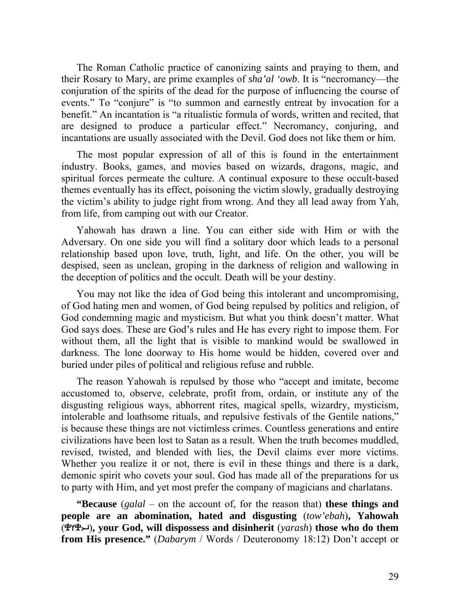The Roman Catholic practice of canonizing saints and praying to them, and their Rosary to Mary, are prime examples of *sha'al 'owb*. It is "necromancy—the conjuration of the spirits of the dead for the purpose of influencing the course of events." To "conjure" is "to summon and earnestly entreat by invocation for a benefit." An incantation is "a ritualistic formula of words, written and recited, that are designed to produce a particular effect." Necromancy, conjuring, and incantations are usually associated with the Devil. God does not like them or him.

The most popular expression of all of this is found in the entertainment industry. Books, games, and movies based on wizards, dragons, magic, and spiritual forces permeate the culture. A continual exposure to these occult-based themes eventually has its effect, poisoning the victim slowly, gradually destroying the victim's ability to judge right from wrong. And they all lead away from Yah, from life, from camping out with our Creator.

Yahowah has drawn a line. You can either side with Him or with the Adversary. On one side you will find a solitary door which leads to a personal relationship based upon love, truth, light, and life. On the other, you will be despised, seen as unclean, groping in the darkness of religion and wallowing in the deception of politics and the occult. Death will be your destiny.

You may not like the idea of God being this intolerant and uncompromising, of God hating men and women, of God being repulsed by politics and religion, of God condemning magic and mysticism. But what you think doesn't matter. What God says does. These are God's rules and He has every right to impose them. For without them, all the light that is visible to mankind would be swallowed in darkness. The lone doorway to His home would be hidden, covered over and buried under piles of political and religious refuse and rubble.

The reason Yahowah is repulsed by those who "accept and imitate, become accustomed to, observe, celebrate, profit from, ordain, or institute any of the disgusting religious ways, abhorrent rites, magical spells, wizardry, mysticism, intolerable and loathsome rituals, and repulsive festivals of the Gentile nations," is because these things are not victimless crimes. Countless generations and entire civilizations have been lost to Satan as a result. When the truth becomes muddled, revised, twisted, and blended with lies, the Devil claims ever more victims. Whether you realize it or not, there is evil in these things and there is a dark, demonic spirit who covets your soul. God has made all of the preparations for us to party with Him, and yet most prefer the company of magicians and charlatans.

**"Because** (*galal* – on the account of, for the reason that) **these things and people are an abomination, hated and disgusting** (*tow'ebah*)**, Yahowah**  ()**, your God, will dispossess and disinherit** (*yarash*) **those who do them from His presence."** (*Dabarym* / Words / Deuteronomy 18:12) Don't accept or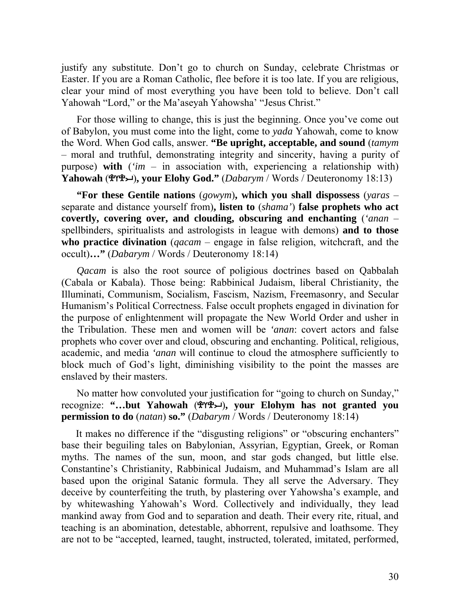justify any substitute. Don't go to church on Sunday, celebrate Christmas or Easter. If you are a Roman Catholic, flee before it is too late. If you are religious, clear your mind of most everything you have been told to believe. Don't call Yahowah "Lord," or the Ma'aseyah Yahowsha' "Jesus Christ."

For those willing to change, this is just the beginning. Once you've come out of Babylon, you must come into the light, come to *yada* Yahowah, come to know the Word. When God calls, answer. **"Be upright, acceptable, and sound** (*tamym* – moral and truthful, demonstrating integrity and sincerity, having a purity of purpose) **with** (*'im* – in association with, experiencing a relationship with) **Yahowah** ()**, your Elohy God."** (*Dabarym* / Words / Deuteronomy 18:13)

**"For these Gentile nations** (*gowym*)**, which you shall dispossess** (*yaras* – separate and distance yourself from)**, listen to** (*shama'*) **false prophets who act covertly, covering over, and clouding, obscuring and enchanting** (*'anan* – spellbinders, spiritualists and astrologists in league with demons) **and to those who practice divination** (*qacam* – engage in false religion, witchcraft, and the occult)**…"** (*Dabarym* / Words / Deuteronomy 18:14)

*Qacam* is also the root source of poligious doctrines based on Qabbalah (Cabala or Kabala). Those being: Rabbinical Judaism, liberal Christianity, the Illuminati, Communism, Socialism, Fascism, Nazism, Freemasonry, and Secular Humanism's Political Correctness. False occult prophets engaged in divination for the purpose of enlightenment will propagate the New World Order and usher in the Tribulation. These men and women will be *'anan*: covert actors and false prophets who cover over and cloud, obscuring and enchanting. Political, religious, academic, and media *'anan* will continue to cloud the atmosphere sufficiently to block much of God's light, diminishing visibility to the point the masses are enslaved by their masters.

No matter how convoluted your justification for "going to church on Sunday," recognize: **"…but Yahowah** ()**, your Elohym has not granted you permission to do** (*natan*) **so."** (*Dabarym* / Words / Deuteronomy 18:14)

It makes no difference if the "disgusting religions" or "obscuring enchanters" base their beguiling tales on Babylonian, Assyrian, Egyptian, Greek, or Roman myths. The names of the sun, moon, and star gods changed, but little else. Constantine's Christianity, Rabbinical Judaism, and Muhammad's Islam are all based upon the original Satanic formula. They all serve the Adversary. They deceive by counterfeiting the truth, by plastering over Yahowsha's example, and by whitewashing Yahowah's Word. Collectively and individually, they lead mankind away from God and to separation and death. Their every rite, ritual, and teaching is an abomination, detestable, abhorrent, repulsive and loathsome. They are not to be "accepted, learned, taught, instructed, tolerated, imitated, performed,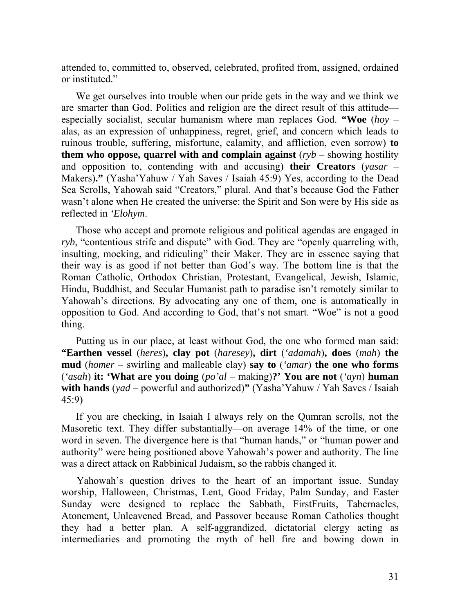attended to, committed to, observed, celebrated, profited from, assigned, ordained or instituted."

We get ourselves into trouble when our pride gets in the way and we think we are smarter than God. Politics and religion are the direct result of this attitude especially socialist, secular humanism where man replaces God. **"Woe** (*hoy* – alas, as an expression of unhappiness, regret, grief, and concern which leads to ruinous trouble, suffering, misfortune, calamity, and affliction, even sorrow) **to them who oppose, quarrel with and complain against**  $(ryb - showing$  hostility and opposition to, contending with and accusing) **their Creators** (*yasar* – Makers)**."** (Yasha'Yahuw / Yah Saves / Isaiah 45:9) Yes, according to the Dead Sea Scrolls, Yahowah said "Creators," plural. And that's because God the Father wasn't alone when He created the universe: the Spirit and Son were by His side as reflected in *'Elohym*.

Those who accept and promote religious and political agendas are engaged in *ryb*, "contentious strife and dispute" with God. They are "openly quarreling with, insulting, mocking, and ridiculing" their Maker. They are in essence saying that their way is as good if not better than God's way. The bottom line is that the Roman Catholic, Orthodox Christian, Protestant, Evangelical, Jewish, Islamic, Hindu, Buddhist, and Secular Humanist path to paradise isn't remotely similar to Yahowah's directions. By advocating any one of them, one is automatically in opposition to God. And according to God, that's not smart. "Woe" is not a good thing.

Putting us in our place, at least without God, the one who formed man said: **"Earthen vessel** (*heres*)**, clay pot** (*haresey*)**, dirt** (*'adamah*)**, does** (*mah*) **the mud** (*homer* – swirling and malleable clay) **say to** (*'amar*) **the one who forms** (*'asah*) **it: 'What are you doing** (*po'al* – making)**?' You are not** (*'ayn*) **human with hands** (*yad* – powerful and authorized)**"** (Yasha'Yahuw / Yah Saves / Isaiah 45:9)

If you are checking, in Isaiah I always rely on the Qumran scrolls, not the Masoretic text. They differ substantially—on average 14% of the time, or one word in seven. The divergence here is that "human hands," or "human power and authority" were being positioned above Yahowah's power and authority. The line was a direct attack on Rabbinical Judaism, so the rabbis changed it.

Yahowah's question drives to the heart of an important issue. Sunday worship, Halloween, Christmas, Lent, Good Friday, Palm Sunday, and Easter Sunday were designed to replace the Sabbath, FirstFruits, Tabernacles, Atonement, Unleavened Bread, and Passover because Roman Catholics thought they had a better plan. A self-aggrandized, dictatorial clergy acting as intermediaries and promoting the myth of hell fire and bowing down in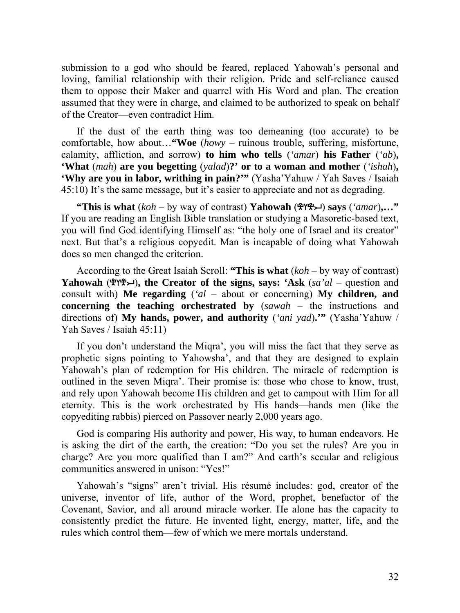submission to a god who should be feared, replaced Yahowah's personal and loving, familial relationship with their religion. Pride and self-reliance caused them to oppose their Maker and quarrel with His Word and plan. The creation assumed that they were in charge, and claimed to be authorized to speak on behalf of the Creator—even contradict Him.

If the dust of the earth thing was too demeaning (too accurate) to be comfortable, how about…**"Woe** (*howy* – ruinous trouble, suffering, misfortune, calamity, affliction, and sorrow) **to him who tells** (*'amar*) **his Father** (*'ab*)**, 'What** (*mah*) **are you begetting** (*yalad*)**?' or to a woman and mother** (*'ishah*)**, 'Why are you in labor, writhing in pain?'"** (Yasha'Yahuw / Yah Saves / Isaiah 45:10) It's the same message, but it's easier to appreciate and not as degrading.

"This is what  $(koh - by way of contrast)$  **Yahowah**  $(\mathcal{H} \mathcal{H} \mathcal{H})$  says  $('amar), \dots"$ If you are reading an English Bible translation or studying a Masoretic-based text, you will find God identifying Himself as: "the holy one of Israel and its creator" next. But that's a religious copyedit. Man is incapable of doing what Yahowah does so men changed the criterion.

According to the Great Isaiah Scroll: **"This is what** (*koh* – by way of contrast) **Yahowah** ( $\mathcal{L}(\mathbf{X})$ ), the Creator of the signs, says: 'Ask ( $sa'al$  – question and consult with) **Me regarding** (*'al* – about or concerning) **My children, and concerning the teaching orchestrated by** (*sawah* – the instructions and directions of) **My hands, power, and authority** (*'ani yad*)**.'"** (Yasha'Yahuw / Yah Saves / Isaiah 45:11)

If you don't understand the Miqra', you will miss the fact that they serve as prophetic signs pointing to Yahowsha', and that they are designed to explain Yahowah's plan of redemption for His children. The miracle of redemption is outlined in the seven Miqra'. Their promise is: those who chose to know, trust, and rely upon Yahowah become His children and get to campout with Him for all eternity. This is the work orchestrated by His hands—hands men (like the copyediting rabbis) pierced on Passover nearly 2,000 years ago.

God is comparing His authority and power, His way, to human endeavors. He is asking the dirt of the earth, the creation: "Do you set the rules? Are you in charge? Are you more qualified than I am?" And earth's secular and religious communities answered in unison: "Yes!"

Yahowah's "signs" aren't trivial. His résumé includes: god, creator of the universe, inventor of life, author of the Word, prophet, benefactor of the Covenant, Savior, and all around miracle worker. He alone has the capacity to consistently predict the future. He invented light, energy, matter, life, and the rules which control them—few of which we mere mortals understand.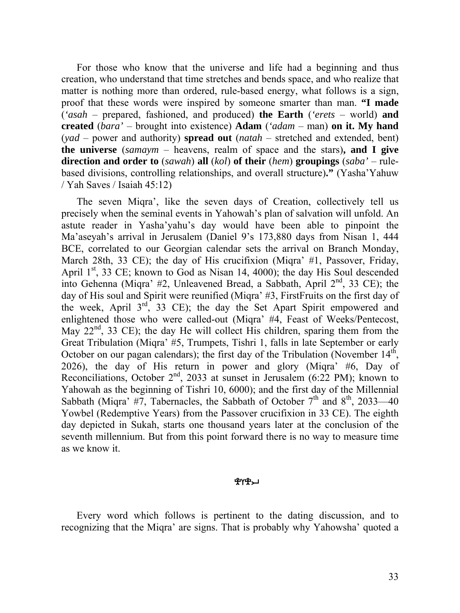For those who know that the universe and life had a beginning and thus creation, who understand that time stretches and bends space, and who realize that matter is nothing more than ordered, rule-based energy, what follows is a sign, proof that these words were inspired by someone smarter than man. **"I made** (*'asah* – prepared, fashioned, and produced) **the Earth** (*'erets* – world) **and created** (*bara'* – brought into existence) **Adam** (*'adam* – man) **on it. My hand** (*yad* – power and authority) **spread out** (*natah* – stretched and extended, bent) **the universe** (*samaym* – heavens, realm of space and the stars)**, and I give direction and order to** (*sawah*) **all** (*kol*) **of their** (*hem*) **groupings** (*saba'* – rulebased divisions, controlling relationships, and overall structure)**."** (Yasha'Yahuw / Yah Saves / Isaiah 45:12)

The seven Miqra', like the seven days of Creation, collectively tell us precisely when the seminal events in Yahowah's plan of salvation will unfold. An astute reader in Yasha'yahu's day would have been able to pinpoint the Ma'aseyah's arrival in Jerusalem (Daniel 9's 173,880 days from Nisan 1, 444 BCE, correlated to our Georgian calendar sets the arrival on Branch Monday, March 28th, 33 CE); the day of His crucifixion (Miqra' #1, Passover, Friday, April  $1<sup>st</sup>$ , 33 CE; known to God as Nisan 14, 4000); the day His Soul descended into Gehenna (Miqra' #2, Unleavened Bread, a Sabbath, April  $2<sup>nd</sup>$ , 33 CE); the day of His soul and Spirit were reunified (Miqra' #3, FirstFruits on the first day of the week, April 3rd, 33 CE); the day the Set Apart Spirit empowered and enlightened those who were called-out (Miqra' #4, Feast of Weeks/Pentecost, May  $22<sup>nd</sup>$ , 33 CE); the day He will collect His children, sparing them from the Great Tribulation (Miqra' #5, Trumpets, Tishri 1, falls in late September or early October on our pagan calendars); the first day of the Tribulation (November  $14<sup>th</sup>$ , 2026), the day of His return in power and glory (Miqra' #6, Day of Reconciliations, October 2<sup>nd</sup>, 2033 at sunset in Jerusalem (6:22 PM); known to Yahowah as the beginning of Tishri 10, 6000); and the first day of the Millennial Sabbath (Miqra' #7, Tabernacles, the Sabbath of October  $7<sup>th</sup>$  and  $8<sup>th</sup>$ , 2033—40 Yowbel (Redemptive Years) from the Passover crucifixion in 33 CE). The eighth day depicted in Sukah, starts one thousand years later at the conclusion of the seventh millennium. But from this point forward there is no way to measure time as we know it.

### ቔ፞ለሕግ

Every word which follows is pertinent to the dating discussion, and to recognizing that the Miqra' are signs. That is probably why Yahowsha' quoted a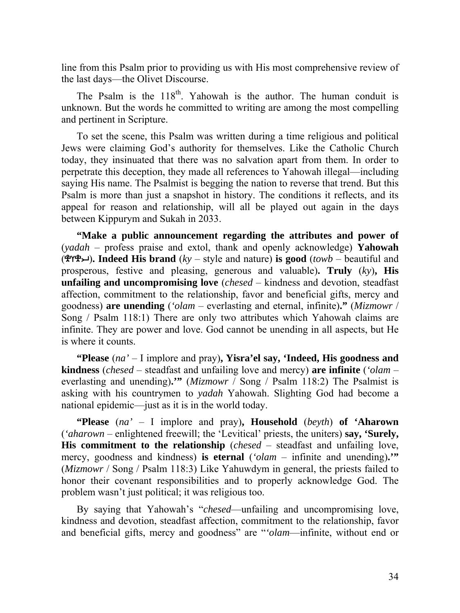line from this Psalm prior to providing us with His most comprehensive review of the last days—the Olivet Discourse.

The Psalm is the  $118<sup>th</sup>$ . Yahowah is the author. The human conduit is unknown. But the words he committed to writing are among the most compelling and pertinent in Scripture.

To set the scene, this Psalm was written during a time religious and political Jews were claiming God's authority for themselves. Like the Catholic Church today, they insinuated that there was no salvation apart from them. In order to perpetrate this deception, they made all references to Yahowah illegal—including saying His name. The Psalmist is begging the nation to reverse that trend. But this Psalm is more than just a snapshot in history. The conditions it reflects, and its appeal for reason and relationship, will all be played out again in the days between Kippurym and Sukah in 2033.

**"Make a public announcement regarding the attributes and power of** (*yadah* – profess praise and extol, thank and openly acknowledge) **Yahowah**   $(\mathbf{\hat{H}}^{\mathbf{H}}\mathbf{\hat{H}}^{\mathbf{H}})$ . **Indeed His brand** (*ky* – style and nature) **is good** (*towb* – beautiful and prosperous, festive and pleasing, generous and valuable)**. Truly** (*ky*)**, His unfailing and uncompromising love** (*chesed* – kindness and devotion, steadfast affection, commitment to the relationship, favor and beneficial gifts, mercy and goodness) **are unending** (*'olam* – everlasting and eternal, infinite)**."** (*Mizmowr* / Song / Psalm 118:1) There are only two attributes which Yahowah claims are infinite. They are power and love. God cannot be unending in all aspects, but He is where it counts.

**"Please** (*na'* – I implore and pray)**, Yisra'el say, 'Indeed, His goodness and kindness** (*chesed* – steadfast and unfailing love and mercy) **are infinite** (*'olam* – everlasting and unending)**.'"** (*Mizmowr* / Song / Psalm 118:2) The Psalmist is asking with his countrymen to *yadah* Yahowah. Slighting God had become a national epidemic—just as it is in the world today.

**"Please** (*na'* – I implore and pray)**, Household** (*beyth*) **of 'Aharown**  (*'aharown* – enlightened freewill; the 'Levitical' priests, the uniters) **say, 'Surely, His commitment to the relationship** (*chesed* – steadfast and unfailing love, mercy, goodness and kindness) **is eternal** (*'olam* – infinite and unending)**.'"** (*Mizmowr* / Song / Psalm 118:3) Like Yahuwdym in general, the priests failed to honor their covenant responsibilities and to properly acknowledge God. The problem wasn't just political; it was religious too.

By saying that Yahowah's "*chesed*—unfailing and uncompromising love, kindness and devotion, steadfast affection, commitment to the relationship, favor and beneficial gifts, mercy and goodness" are "*'olam*—infinite, without end or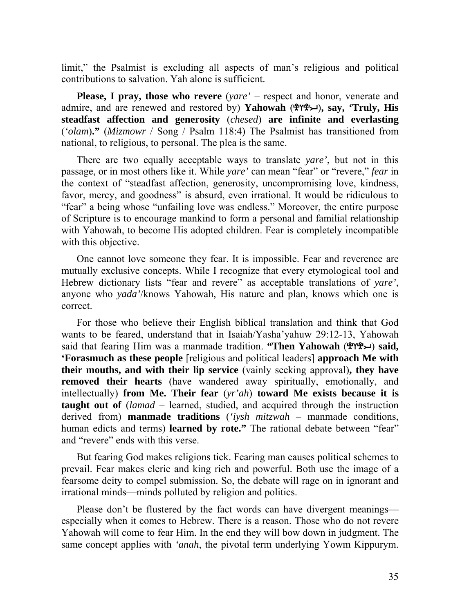limit," the Psalmist is excluding all aspects of man's religious and political contributions to salvation. Yah alone is sufficient.

**Please, I pray, those who revere** (*yare'* – respect and honor, venerate and admire, and are renewed and restored by) **Yahowah** ( $\mathcal{P}(\mathcal{P}, \mathcal{L})$ , say, 'Truly, His **steadfast affection and generosity** (*chesed*) **are infinite and everlasting**  (*'olam*)**."** (*Mizmowr* / Song / Psalm 118:4) The Psalmist has transitioned from national, to religious, to personal. The plea is the same.

There are two equally acceptable ways to translate *yare'*, but not in this passage, or in most others like it. While *yare'* can mean "fear" or "revere," *fear* in the context of "steadfast affection, generosity, uncompromising love, kindness, favor, mercy, and goodness" is absurd, even irrational. It would be ridiculous to "fear" a being whose "unfailing love was endless." Moreover, the entire purpose of Scripture is to encourage mankind to form a personal and familial relationship with Yahowah, to become His adopted children. Fear is completely incompatible with this objective.

One cannot love someone they fear. It is impossible. Fear and reverence are mutually exclusive concepts. While I recognize that every etymological tool and Hebrew dictionary lists "fear and revere" as acceptable translations of *yare'*, anyone who *yada'*/knows Yahowah, His nature and plan, knows which one is correct.

For those who believe their English biblical translation and think that God wants to be feared, understand that in Isaiah/Yasha'yahuw 29:12-13, Yahowah said that fearing Him was a manmade tradition. **"Then Yahowah (£T+P+4)** said, **'Forasmuch as these people** [religious and political leaders] **approach Me with their mouths, and with their lip service** (vainly seeking approval)**, they have removed their hearts** (have wandered away spiritually, emotionally, and intellectually) **from Me. Their fear** (*yr'ah*) **toward Me exists because it is taught out of** (*lamad* – learned, studied, and acquired through the instruction derived from) **manmade traditions** (*'iysh mitzwah* – manmade conditions, human edicts and terms) **learned by rote."** The rational debate between "fear" and "revere" ends with this verse.

But fearing God makes religions tick. Fearing man causes political schemes to prevail. Fear makes cleric and king rich and powerful. Both use the image of a fearsome deity to compel submission. So, the debate will rage on in ignorant and irrational minds—minds polluted by religion and politics.

Please don't be flustered by the fact words can have divergent meanings especially when it comes to Hebrew. There is a reason. Those who do not revere Yahowah will come to fear Him. In the end they will bow down in judgment. The same concept applies with *'anah*, the pivotal term underlying Yowm Kippurym.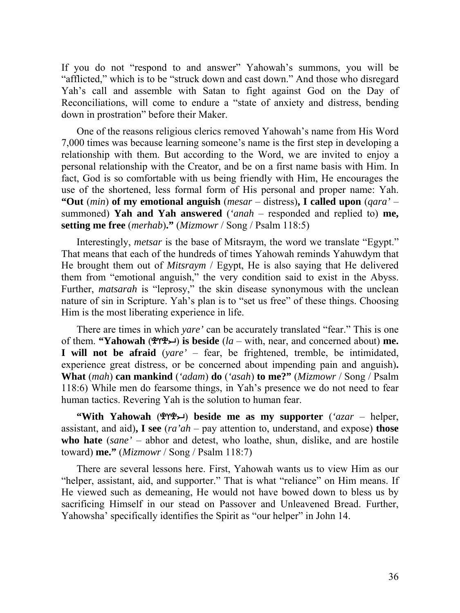If you do not "respond to and answer" Yahowah's summons, you will be "afflicted," which is to be "struck down and cast down." And those who disregard Yah's call and assemble with Satan to fight against God on the Day of Reconciliations, will come to endure a "state of anxiety and distress, bending down in prostration" before their Maker.

One of the reasons religious clerics removed Yahowah's name from His Word 7,000 times was because learning someone's name is the first step in developing a relationship with them. But according to the Word, we are invited to enjoy a personal relationship with the Creator, and be on a first name basis with Him. In fact, God is so comfortable with us being friendly with Him, He encourages the use of the shortened, less formal form of His personal and proper name: Yah. **"Out** (*min*) **of my emotional anguish** (*mesar* – distress)**, I called upon** (*qara'* – summoned) **Yah and Yah answered** (*'anah* – responded and replied to) **me, setting me free** (*merhab*)**."** (*Mizmowr* / Song / Psalm 118:5)

Interestingly, *metsar* is the base of Mitsraym, the word we translate "Egypt." That means that each of the hundreds of times Yahowah reminds Yahuwdym that He brought them out of *Mitsraym* / Egypt, He is also saying that He delivered them from "emotional anguish," the very condition said to exist in the Abyss. Further, *matsarah* is "leprosy," the skin disease synonymous with the unclean nature of sin in Scripture. Yah's plan is to "set us free" of these things. Choosing Him is the most liberating experience in life.

There are times in which *yare'* can be accurately translated "fear." This is one of them. **"Yahowah**  $(\mathbf{\mathcal{L}} \mathbf{Y} \mathbf{\mathcal{L}})$  is beside (*la* – with, near, and concerned about) me. **I will not be afraid** (*yare'* – fear, be frightened, tremble, be intimidated, experience great distress, or be concerned about impending pain and anguish)**. What** (*mah*) **can mankind** (*'adam*) **do** (*'asah*) **to me?"** (*Mizmowr* / Song / Psalm 118:6) While men do fearsome things, in Yah's presence we do not need to fear human tactics. Revering Yah is the solution to human fear.

**"With Yahowah (** $\mathbb{P}(\mathbb{P}(\mathbb{P}))$  **beside me as my supporter** (*'azar* – helper, assistant, and aid)**, I see** (*ra'ah* – pay attention to, understand, and expose) **those who hate** (*sane'* – abhor and detest, who loathe, shun, dislike, and are hostile toward) **me."** (*Mizmowr* / Song / Psalm 118:7)

There are several lessons here. First, Yahowah wants us to view Him as our "helper, assistant, aid, and supporter." That is what "reliance" on Him means. If He viewed such as demeaning, He would not have bowed down to bless us by sacrificing Himself in our stead on Passover and Unleavened Bread. Further, Yahowsha' specifically identifies the Spirit as "our helper" in John 14.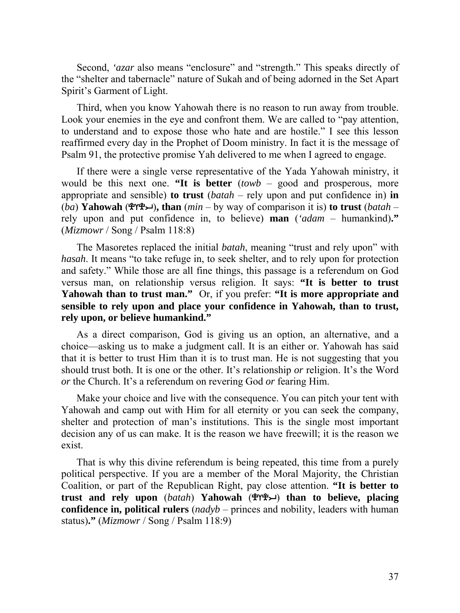Second, *'azar* also means "enclosure" and "strength." This speaks directly of the "shelter and tabernacle" nature of Sukah and of being adorned in the Set Apart Spirit's Garment of Light.

Third, when you know Yahowah there is no reason to run away from trouble. Look your enemies in the eye and confront them. We are called to "pay attention, to understand and to expose those who hate and are hostile." I see this lesson reaffirmed every day in the Prophet of Doom ministry. In fact it is the message of Psalm 91, the protective promise Yah delivered to me when I agreed to engage.

If there were a single verse representative of the Yada Yahowah ministry, it would be this next one. **"It is better** (*towb* – good and prosperous, more appropriate and sensible) **to trust** (*batah* – rely upon and put confidence in) **in** (*ba*) **Yahowah** ()**, than** (*min* – by way of comparison it is) **to trust** (*batah* – rely upon and put confidence in, to believe) **man** (*'adam* – humankind)**."** (*Mizmowr* / Song / Psalm 118:8)

The Masoretes replaced the initial *batah*, meaning "trust and rely upon" with *hasah*. It means "to take refuge in, to seek shelter, and to rely upon for protection and safety." While those are all fine things, this passage is a referendum on God versus man, on relationship versus religion. It says: **"It is better to trust Yahowah than to trust man."** Or, if you prefer: **"It is more appropriate and sensible to rely upon and place your confidence in Yahowah, than to trust, rely upon, or believe humankind."** 

As a direct comparison, God is giving us an option, an alternative, and a choice—asking us to make a judgment call. It is an either or. Yahowah has said that it is better to trust Him than it is to trust man. He is not suggesting that you should trust both. It is one or the other. It's relationship *or* religion. It's the Word *or* the Church. It's a referendum on revering God *or* fearing Him.

Make your choice and live with the consequence. You can pitch your tent with Yahowah and camp out with Him for all eternity or you can seek the company, shelter and protection of man's institutions. This is the single most important decision any of us can make. It is the reason we have freewill; it is the reason we exist.

That is why this divine referendum is being repeated, this time from a purely political perspective. If you are a member of the Moral Majority, the Christian Coalition, or part of the Republican Right, pay close attention. **"It is better to**  trust and rely upon *(batah)* Yahowah ( $\mathcal{P}(\mathcal{P}\mathcal{P})$  than to believe, placing **confidence in, political rulers** (*nadyb* – princes and nobility, leaders with human status)**."** (*Mizmowr* / Song / Psalm 118:9)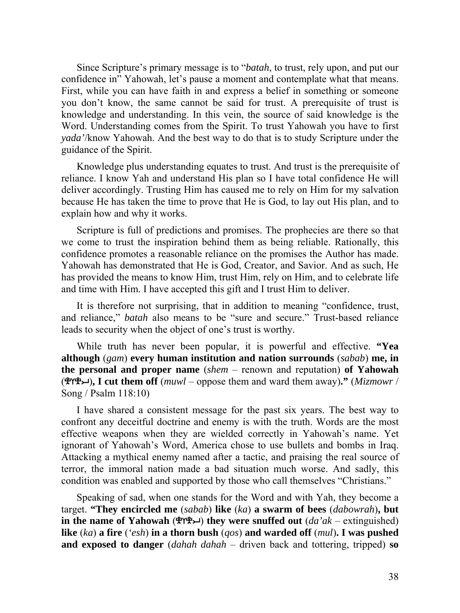Since Scripture's primary message is to "*batah*, to trust, rely upon, and put our confidence in" Yahowah, let's pause a moment and contemplate what that means. First, while you can have faith in and express a belief in something or someone you don't know, the same cannot be said for trust. A prerequisite of trust is knowledge and understanding. In this vein, the source of said knowledge is the Word. Understanding comes from the Spirit. To trust Yahowah you have to first *yada'*/know Yahowah. And the best way to do that is to study Scripture under the guidance of the Spirit.

Knowledge plus understanding equates to trust. And trust is the prerequisite of reliance. I know Yah and understand His plan so I have total confidence He will deliver accordingly. Trusting Him has caused me to rely on Him for my salvation because He has taken the time to prove that He is God, to lay out His plan, and to explain how and why it works.

Scripture is full of predictions and promises. The prophecies are there so that we come to trust the inspiration behind them as being reliable. Rationally, this confidence promotes a reasonable reliance on the promises the Author has made. Yahowah has demonstrated that He is God, Creator, and Savior. And as such, He has provided the means to know Him, trust Him, rely on Him, and to celebrate life and time with Him. I have accepted this gift and I trust Him to deliver.

It is therefore not surprising, that in addition to meaning "confidence, trust, and reliance," *batah* also means to be "sure and secure." Trust-based reliance leads to security when the object of one's trust is worthy.

While truth has never been popular, it is powerful and effective. **"Yea although** (*gam*) **every human institution and nation surrounds** (*sabab*) **me, in the personal and proper name** (*shem* – renown and reputation) **of Yahowah**   $(\mathcal{H} \mathcal{H} \mathcal{H})$ , I cut them off (*muwl* – oppose them and ward them away)." (*Mizmowr* / Song / Psalm 118:10)

I have shared a consistent message for the past six years. The best way to confront any deceitful doctrine and enemy is with the truth. Words are the most effective weapons when they are wielded correctly in Yahowah's name. Yet ignorant of Yahowah's Word, America chose to use bullets and bombs in Iraq. Attacking a mythical enemy named after a tactic, and praising the real source of terror, the immoral nation made a bad situation much worse. And sadly, this condition was enabled and supported by those who call themselves "Christians."

Speaking of sad, when one stands for the Word and with Yah, they become a target. **"They encircled me** (*sabab*) **like** (*ka*) **a swarm of bees** (*dabowrah*)**, but in the name of Yahowah** ( $\mathbf{H}(\mathbf{H}|\mathbf{H})$ ) they were snuffed out  $(da'ak - \text{extinguished})$ **like** (*ka*) **a fire** (*'esh*) **in a thorn bush** (*qos*) **and warded off** (*mul*)**. I was pushed and exposed to danger** (*dahah dahah* – driven back and tottering, tripped) **so**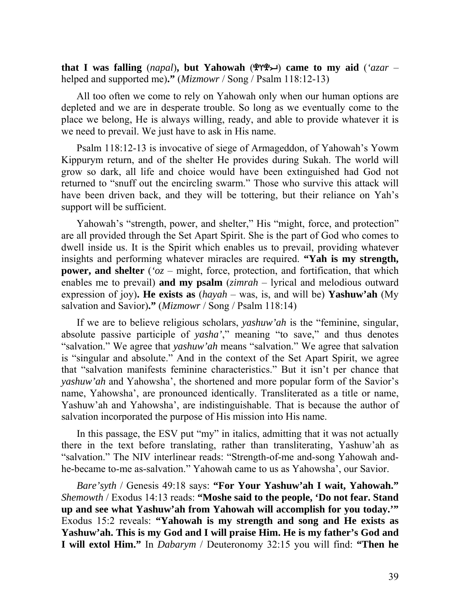**that I was falling** (*napal*)**, but Yahowah** () **came to my aid** (*'azar* – helped and supported me)**."** (*Mizmowr* / Song / Psalm 118:12-13)

All too often we come to rely on Yahowah only when our human options are depleted and we are in desperate trouble. So long as we eventually come to the place we belong, He is always willing, ready, and able to provide whatever it is we need to prevail. We just have to ask in His name.

Psalm 118:12-13 is invocative of siege of Armageddon, of Yahowah's Yowm Kippurym return, and of the shelter He provides during Sukah. The world will grow so dark, all life and choice would have been extinguished had God not returned to "snuff out the encircling swarm." Those who survive this attack will have been driven back, and they will be tottering, but their reliance on Yah's support will be sufficient.

Yahowah's "strength, power, and shelter," His "might, force, and protection" are all provided through the Set Apart Spirit. She is the part of God who comes to dwell inside us. It is the Spirit which enables us to prevail, providing whatever insights and performing whatever miracles are required. **"Yah is my strength, power, and shelter** (*'oz* – might, force, protection, and fortification, that which enables me to prevail) **and my psalm** (*zimrah* – lyrical and melodious outward expression of joy)**. He exists as** (*hayah* – was, is, and will be) **Yashuw'ah** (My salvation and Savior)**."** (*Mizmowr* / Song / Psalm 118:14)

If we are to believe religious scholars, *yashuw'ah* is the "feminine, singular, absolute passive participle of *yasha'*," meaning "to save," and thus denotes "salvation." We agree that *yashuw'ah* means "salvation." We agree that salvation is "singular and absolute." And in the context of the Set Apart Spirit, we agree that "salvation manifests feminine characteristics." But it isn't per chance that *yashuw'ah* and Yahowsha', the shortened and more popular form of the Savior's name, Yahowsha', are pronounced identically. Transliterated as a title or name, Yashuw'ah and Yahowsha', are indistinguishable. That is because the author of salvation incorporated the purpose of His mission into His name.

In this passage, the ESV put "my" in italics, admitting that it was not actually there in the text before translating, rather than transliterating, Yashuw'ah as "salvation." The NIV interlinear reads: "Strength-of-me and-song Yahowah andhe-became to-me as-salvation." Yahowah came to us as Yahowsha', our Savior.

*Bare'syth* / Genesis 49:18 says: **"For Your Yashuw'ah I wait, Yahowah."**  *Shemowth* / Exodus 14:13 reads: **"Moshe said to the people, 'Do not fear. Stand up and see what Yashuw'ah from Yahowah will accomplish for you today.'"** Exodus 15:2 reveals: **"Yahowah is my strength and song and He exists as Yashuw'ah. This is my God and I will praise Him. He is my father's God and I will extol Him."** In *Dabarym* / Deuteronomy 32:15 you will find: **"Then he**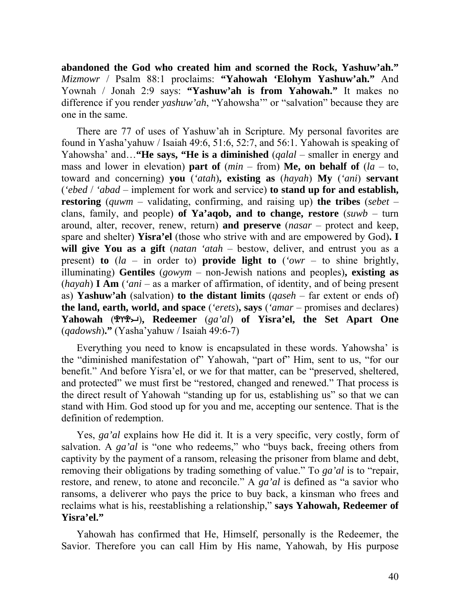**abandoned the God who created him and scorned the Rock, Yashuw'ah."** *Mizmowr* / Psalm 88:1 proclaims: **"Yahowah 'Elohym Yashuw'ah."** And Yownah / Jonah 2:9 says: **"Yashuw'ah is from Yahowah."** It makes no difference if you render *yashuw'ah*, "Yahowsha'" or "salvation" because they are one in the same.

There are 77 of uses of Yashuw'ah in Scripture. My personal favorites are found in Yasha'yahuw / Isaiah 49:6, 51:6, 52:7, and 56:1. Yahowah is speaking of Yahowsha' and…**"He says, "He is a diminished** (*qalal* – smaller in energy and mass and lower in elevation) **part of**  $(min - from)$  **Me, on behalf of**  $(la - to)$ , toward and concerning) **you** (*'atah*)**, existing as** (*hayah*) **My** (*'ani*) **servant** (*'ebed* / *'abad* – implement for work and service) **to stand up for and establish, restoring** (*quwm* – validating, confirming, and raising up) **the tribes** (*sebet* – clans, family, and people) **of Ya'aqob, and to change, restore** (*suwb* – turn around, alter, recover, renew, return) **and preserve** (*nasar* – protect and keep, spare and shelter) **Yisra'el** (those who strive with and are empowered by God)**. I will give You as a gift** (*natan 'atah* – bestow, deliver, and entrust you as a present) **to** (*la* – in order to) **provide light to** (*'owr* – to shine brightly, illuminating) **Gentiles** (*gowym* – non-Jewish nations and peoples)**, existing as** (*hayah*) **I Am** (*'ani* – as a marker of affirmation, of identity, and of being present as) **Yashuw'ah** (salvation) **to the distant limits** (*qaseh* – far extent or ends of) **the land, earth, world, and space** (*'erets*)**, says** (*'amar* – promises and declares) **Yahowah** ()**, Redeemer** (*ga'al*) **of Yisra'el, the Set Apart One** (*qadowsh*)**."** (Yasha'yahuw / Isaiah 49:6-7)

Everything you need to know is encapsulated in these words. Yahowsha' is the "diminished manifestation of" Yahowah, "part of" Him, sent to us, "for our benefit." And before Yisra'el, or we for that matter, can be "preserved, sheltered, and protected" we must first be "restored, changed and renewed." That process is the direct result of Yahowah "standing up for us, establishing us" so that we can stand with Him. God stood up for you and me, accepting our sentence. That is the definition of redemption.

Yes, *ga'al* explains how He did it. It is a very specific, very costly, form of salvation. A *ga'al* is "one who redeems," who "buys back, freeing others from captivity by the payment of a ransom, releasing the prisoner from blame and debt, removing their obligations by trading something of value." To *ga'al* is to "repair, restore, and renew, to atone and reconcile." A *ga'al* is defined as "a savior who ransoms, a deliverer who pays the price to buy back, a kinsman who frees and reclaims what is his, reestablishing a relationship," **says Yahowah, Redeemer of Yisra'el."**

Yahowah has confirmed that He, Himself, personally is the Redeemer, the Savior. Therefore you can call Him by His name, Yahowah, by His purpose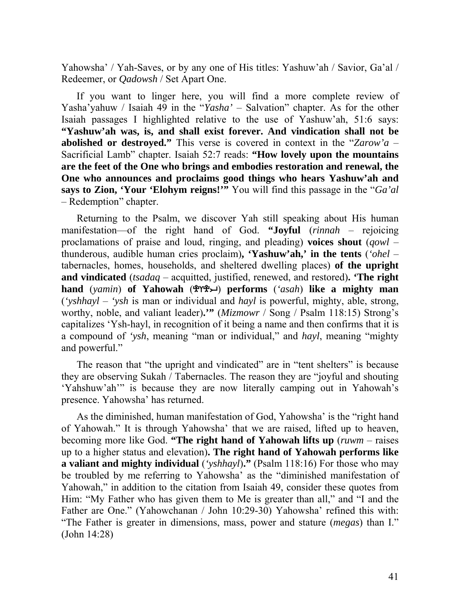Yahowsha' / Yah-Saves, or by any one of His titles: Yashuw'ah / Savior, Ga'al / Redeemer, or *Qadowsh* / Set Apart One.

If you want to linger here, you will find a more complete review of Yasha'yahuw / Isaiah 49 in the "*Yasha'* – Salvation" chapter. As for the other Isaiah passages I highlighted relative to the use of Yashuw'ah, 51:6 says: **"Yashuw'ah was, is, and shall exist forever. And vindication shall not be abolished or destroyed."** This verse is covered in context in the "*Zarow'a* – Sacrificial Lamb" chapter. Isaiah 52:7 reads: **"How lovely upon the mountains are the feet of the One who brings and embodies restoration and renewal, the One who announces and proclaims good things who hears Yashuw'ah and says to Zion, 'Your 'Elohym reigns!'"** You will find this passage in the "*Ga'al* – Redemption" chapter.

Returning to the Psalm, we discover Yah still speaking about His human manifestation—of the right hand of God. **"Joyful** (*rinnah* – rejoicing proclamations of praise and loud, ringing, and pleading) **voices shout** (*qowl* – thunderous, audible human cries proclaim)**, 'Yashuw'ah,' in the tents** (*'ohel* – tabernacles, homes, households, and sheltered dwelling places) **of the upright and vindicated** (*tsadaq* – acquitted, justified, renewed, and restored)**. 'The right hand** (*yamin*) **of Yahowah** () **performs** (*'asah*) **like a mighty man** (*'yshhayl* – *'ysh* is man or individual and *hayl* is powerful, mighty, able, strong, worthy, noble, and valiant leader)**.'"** (*Mizmowr* / Song / Psalm 118:15) Strong's capitalizes 'Ysh-hayl, in recognition of it being a name and then confirms that it is a compound of *'ysh*, meaning "man or individual," and *hayl*, meaning "mighty and powerful."

The reason that "the upright and vindicated" are in "tent shelters" is because they are observing Sukah / Tabernacles. The reason they are "joyful and shouting 'Yahshuw'ah'" is because they are now literally camping out in Yahowah's presence. Yahowsha' has returned.

As the diminished, human manifestation of God, Yahowsha' is the "right hand of Yahowah." It is through Yahowsha' that we are raised, lifted up to heaven, becoming more like God. **"The right hand of Yahowah lifts up** (*ruwm* – raises up to a higher status and elevation)**. The right hand of Yahowah performs like a valiant and mighty individual** (*'yshhayl*)**."** (Psalm 118:16) For those who may be troubled by me referring to Yahowsha' as the "diminished manifestation of Yahowah," in addition to the citation from Isaiah 49, consider these quotes from Him: "My Father who has given them to Me is greater than all," and "I and the Father are One." (Yahowchanan / John 10:29-30) Yahowsha' refined this with: "The Father is greater in dimensions, mass, power and stature (*megas*) than I." (John 14:28)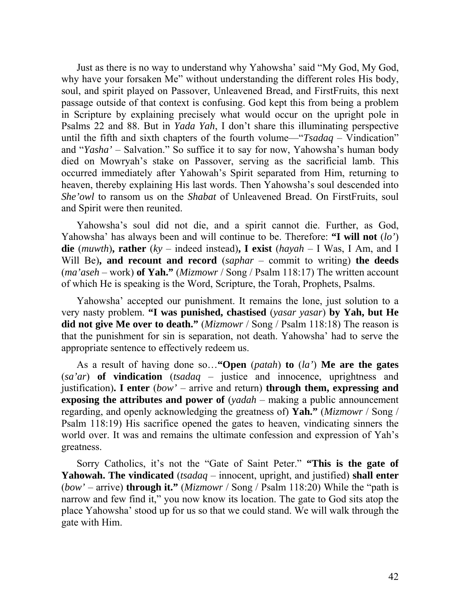Just as there is no way to understand why Yahowsha' said "My God, My God, why have your forsaken Me" without understanding the different roles His body, soul, and spirit played on Passover, Unleavened Bread, and FirstFruits, this next passage outside of that context is confusing. God kept this from being a problem in Scripture by explaining precisely what would occur on the upright pole in Psalms 22 and 88. But in *Yada Yah*, I don't share this illuminating perspective until the fifth and sixth chapters of the fourth volume—"*Tsadaq* – Vindication" and "*Yasha'* – Salvation." So suffice it to say for now, Yahowsha's human body died on Mowryah's stake on Passover, serving as the sacrificial lamb. This occurred immediately after Yahowah's Spirit separated from Him, returning to heaven, thereby explaining His last words. Then Yahowsha's soul descended into *She'owl* to ransom us on the *Shabat* of Unleavened Bread. On FirstFruits, soul and Spirit were then reunited.

Yahowsha's soul did not die, and a spirit cannot die. Further, as God, Yahowsha' has always been and will continue to be. Therefore: **"I will not** (*lo'*) **die** (*muwth*)**, rather** (*ky* – indeed instead)**, I exist** (*hayah* – I Was, I Am, and I Will Be)**, and recount and record** (*saphar* – commit to writing) **the deeds** (*ma'aseh* – work) **of Yah."** (*Mizmowr* / Song / Psalm 118:17) The written account of which He is speaking is the Word, Scripture, the Torah, Prophets, Psalms.

Yahowsha' accepted our punishment. It remains the lone, just solution to a very nasty problem. **"I was punished, chastised** (*yasar yasar*) **by Yah, but He did not give Me over to death."** (*Mizmowr* / Song / Psalm 118:18) The reason is that the punishment for sin is separation, not death. Yahowsha' had to serve the appropriate sentence to effectively redeem us.

As a result of having done so…**"Open** (*patah*) **to** (*la'*) **Me are the gates** (*sa'ar*) **of vindication** (*tsadaq* – justice and innocence, uprightness and justification)**. I enter** (*bow'* – arrive and return) **through them, expressing and exposing the attributes and power of** (*yadah* – making a public announcement regarding, and openly acknowledging the greatness of) **Yah."** (*Mizmowr* / Song / Psalm 118:19) His sacrifice opened the gates to heaven, vindicating sinners the world over. It was and remains the ultimate confession and expression of Yah's greatness.

Sorry Catholics, it's not the "Gate of Saint Peter." **"This is the gate of Yahowah. The vindicated** (*tsadaq* – innocent, upright, and justified) **shall enter** (*bow'* – arrive) **through it."** (*Mizmowr* / Song / Psalm 118:20) While the "path is narrow and few find it," you now know its location. The gate to God sits atop the place Yahowsha' stood up for us so that we could stand. We will walk through the gate with Him.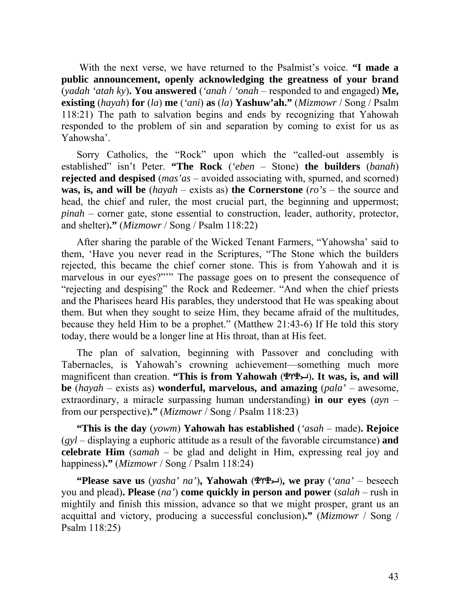With the next verse, we have returned to the Psalmist's voice. **"I made a public announcement, openly acknowledging the greatness of your brand** (*yadah 'atah ky*)**. You answered** (*'anah* / *'onah* – responded to and engaged) **Me, existing** (*hayah*) **for** (*la*) **me** (*'ani*) **as** (*la*) **Yashuw'ah."** (*Mizmowr* / Song / Psalm 118:21) The path to salvation begins and ends by recognizing that Yahowah responded to the problem of sin and separation by coming to exist for us as Yahowsha'.

Sorry Catholics, the "Rock" upon which the "called-out assembly is established" isn't Peter. **"The Rock** (*'eben* – Stone) **the builders** (*banah*) **rejected and despised** (*mas'as* – avoided associating with, spurned, and scorned) **was, is, and will be** (*hayah* – exists as) **the Cornerstone** (*ro's* – the source and head, the chief and ruler, the most crucial part, the beginning and uppermost; *pinah* – corner gate, stone essential to construction, leader, authority, protector, and shelter)**."** (*Mizmowr* / Song / Psalm 118:22)

After sharing the parable of the Wicked Tenant Farmers, "Yahowsha' said to them, 'Have you never read in the Scriptures, "The Stone which the builders rejected, this became the chief corner stone. This is from Yahowah and it is marvelous in our eyes?"'" The passage goes on to present the consequence of "rejecting and despising" the Rock and Redeemer. "And when the chief priests and the Pharisees heard His parables, they understood that He was speaking about them. But when they sought to seize Him, they became afraid of the multitudes, because they held Him to be a prophet." (Matthew 21:43-6) If He told this story today, there would be a longer line at His throat, than at His feet.

The plan of salvation, beginning with Passover and concluding with Tabernacles, is Yahowah's crowning achievement—something much more magnificent than creation. **"This is from Yahowah** ( $\mathcal{P}(\mathcal{P}\mathcal{P})$ ). It was, is, and will **be** (*hayah* – exists as) **wonderful, marvelous, and amazing** (*pala'* – awesome, extraordinary, a miracle surpassing human understanding) **in our eyes** (*ayn* – from our perspective)**."** (*Mizmowr* / Song / Psalm 118:23)

**"This is the day** (*yowm*) **Yahowah has established** (*'asah* – made)**. Rejoice** (*gyl* – displaying a euphoric attitude as a result of the favorable circumstance) **and celebrate Him** (*samah* – be glad and delight in Him, expressing real joy and happiness)**."** (*Mizmowr* / Song / Psalm 118:24)

**"Please save us** (*yasha' na'*), **Yahowah** ( $\mathcal{P}(\mathcal{P}\mathcal{P})$ ), we pray (*'ana'* – beseech you and plead)**. Please** (*na'*) **come quickly in person and power** (*salah* – rush in mightily and finish this mission, advance so that we might prosper, grant us an acquittal and victory, producing a successful conclusion)**."** (*Mizmowr* / Song / Psalm 118:25)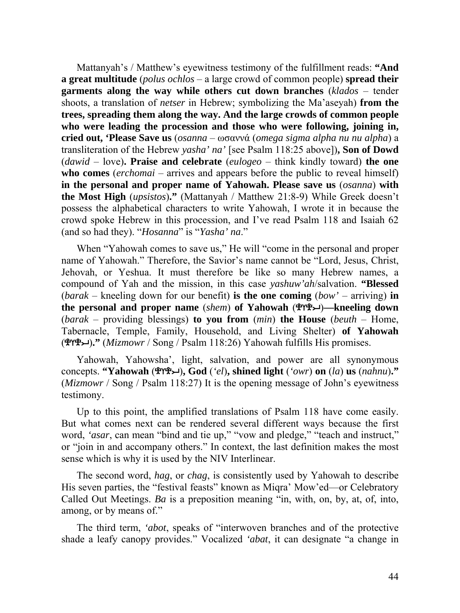Mattanyah's / Matthew's eyewitness testimony of the fulfillment reads: **"And a great multitude** (*polus ochlos* – a large crowd of common people) **spread their garments along the way while others cut down branches** (*klados* – tender shoots, a translation of *netser* in Hebrew; symbolizing the Ma'aseyah) **from the trees, spreading them along the way. And the large crowds of common people who were leading the procession and those who were following, joining in, cried out, 'Please Save us** (*osanna* – ωσαννά (*omega sigma alpha nu nu alpha*) a transliteration of the Hebrew *yasha' na'* [see Psalm 118:25 above])**, Son of Dowd**  (*dawid* – love)**. Praise and celebrate** (*eulogeo* – think kindly toward) **the one**  who comes (*erchomai* – arrives and appears before the public to reveal himself) **in the personal and proper name of Yahowah. Please save us** (*osanna*) **with the Most High** (*upsistos*)**."** (Mattanyah / Matthew 21:8-9) While Greek doesn't possess the alphabetical characters to write Yahowah, I wrote it in because the crowd spoke Hebrew in this procession, and I've read Psalm 118 and Isaiah 62 (and so had they). "*Hosanna*" is "*Yasha' na*."

When "Yahowah comes to save us," He will "come in the personal and proper name of Yahowah." Therefore, the Savior's name cannot be "Lord, Jesus, Christ, Jehovah, or Yeshua. It must therefore be like so many Hebrew names, a compound of Yah and the mission, in this case *yashuw'ah*/salvation. **"Blessed** (*barak* – kneeling down for our benefit) **is the one coming** (*bow'* – arriving) **in the personal and proper name** (*shem*) **of Yahowah** ()**—kneeling down** (*barak* – providing blessings) **to you from** (*min*) **the House** (*beuth* – Home, Tabernacle, Temple, Family, Household, and Living Shelter) **of Yahowah**  ()**."** (*Mizmowr* / Song / Psalm 118:26) Yahowah fulfills His promises.

Yahowah, Yahowsha', light, salvation, and power are all synonymous concepts. **"Yahowah** ()**, God** (*'el*)**, shined light** (*'owr*) **on** (*la*) **us** (*nahnu*)**."** (*Mizmowr* / Song / Psalm 118:27) It is the opening message of John's eyewitness testimony.

Up to this point, the amplified translations of Psalm 118 have come easily. But what comes next can be rendered several different ways because the first word, 'asar, can mean "bind and tie up," "vow and pledge," "teach and instruct," or "join in and accompany others." In context, the last definition makes the most sense which is why it is used by the NIV Interlinear.

The second word, *hag*, or *chag*, is consistently used by Yahowah to describe His seven parties, the "festival feasts" known as Miqra' Mow'ed—or Celebratory Called Out Meetings. *Ba* is a preposition meaning "in, with, on, by, at, of, into, among, or by means of."

The third term, *'abot*, speaks of "interwoven branches and of the protective shade a leafy canopy provides." Vocalized *'abat*, it can designate "a change in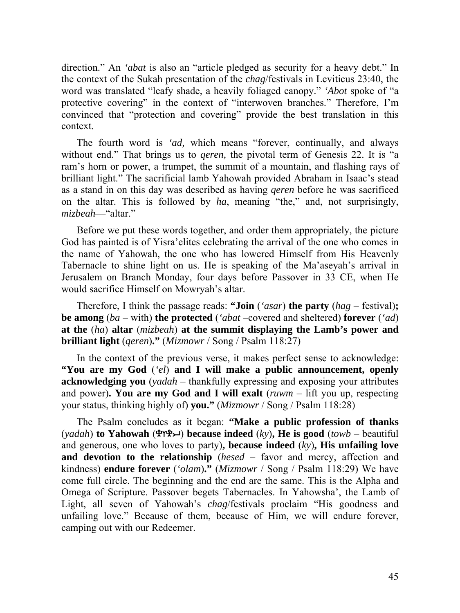direction." An *'abat* is also an "article pledged as security for a heavy debt." In the context of the Sukah presentation of the *chag*/festivals in Leviticus 23:40, the word was translated "leafy shade, a heavily foliaged canopy." *'Abot* spoke of "a protective covering" in the context of "interwoven branches." Therefore, I'm convinced that "protection and covering" provide the best translation in this context.

The fourth word is *'ad,* which means "forever, continually, and always without end." That brings us to *qeren,* the pivotal term of Genesis 22. It is "a ram's horn or power, a trumpet, the summit of a mountain, and flashing rays of brilliant light." The sacrificial lamb Yahowah provided Abraham in Isaac's stead as a stand in on this day was described as having *qeren* before he was sacrificed on the altar. This is followed by *ha*, meaning "the," and, not surprisingly, *mizbeah*—"altar."

Before we put these words together, and order them appropriately, the picture God has painted is of Yisra'elites celebrating the arrival of the one who comes in the name of Yahowah, the one who has lowered Himself from His Heavenly Tabernacle to shine light on us. He is speaking of the Ma'aseyah's arrival in Jerusalem on Branch Monday, four days before Passover in 33 CE, when He would sacrifice Himself on Mowryah's altar.

Therefore, I think the passage reads: **"Join** (*'asar*) **the party** (*hag* – festival)**; be among** (*ba* – with) **the protected** (*'abat* –covered and sheltered) **forever** (*'ad*) **at the** (*ha*) **altar** (*mizbeah*) **at the summit displaying the Lamb's power and brilliant light** (*qeren*)**."** (*Mizmowr* / Song / Psalm 118:27)

In the context of the previous verse, it makes perfect sense to acknowledge: **"You are my God** (*'el*) **and I will make a public announcement, openly acknowledging you** (*yadah* – thankfully expressing and exposing your attributes and power)**. You are my God and I will exalt** (*ruwm* – lift you up, respecting your status, thinking highly of) **you."** (*Mizmowr* / Song / Psalm 118:28)

The Psalm concludes as it began: **"Make a public profession of thanks** (*yadah*) **to Yahowah** ( $\mathcal{L}(\mathcal{V}) = \mathcal{V}(\mathcal{V})$  **because indeed** (*ky*), He is good (*towb* – beautiful and generous, one who loves to party)**, because indeed** (*ky*)**, His unfailing love and devotion to the relationship** (*hesed* – favor and mercy, affection and kindness) **endure forever** (*'olam*)**."** (*Mizmowr* / Song / Psalm 118:29) We have come full circle. The beginning and the end are the same. This is the Alpha and Omega of Scripture. Passover begets Tabernacles. In Yahowsha', the Lamb of Light, all seven of Yahowah's *chag*/festivals proclaim "His goodness and unfailing love." Because of them, because of Him, we will endure forever, camping out with our Redeemer.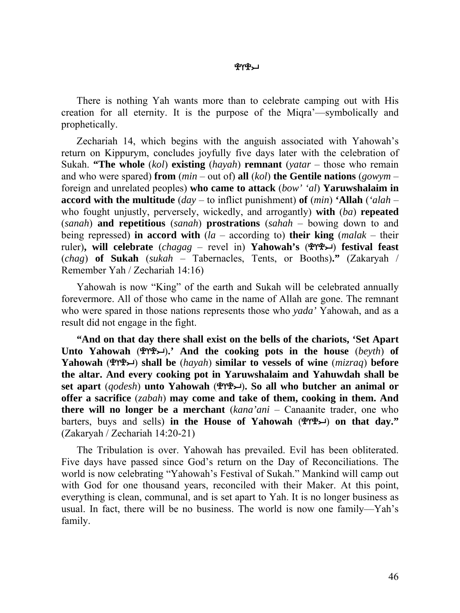There is nothing Yah wants more than to celebrate camping out with His creation for all eternity. It is the purpose of the Miqra'—symbolically and prophetically.

Zechariah 14, which begins with the anguish associated with Yahowah's return on Kippurym, concludes joyfully five days later with the celebration of Sukah. **"The whole** (*kol*) **existing** (*hayah*) **remnant** (*yatar* – those who remain and who were spared) **from** (*min* – out of) **all** (*kol*) **the Gentile nations** (*gowym* – foreign and unrelated peoples) **who came to attack** (*bow' 'al*) **Yaruwshalaim in accord with the multitude** (*day* – to inflict punishment) **of** (*min*) **'Allah** (*'alah* – who fought unjustly, perversely, wickedly, and arrogantly) **with** (*ba*) **repeated** (*sanah*) **and repetitious** (*sanah*) **prostrations** (*sahah* – bowing down to and being repressed) **in accord with** (*la* – according to) **their king** (*malak* – their ruler)**, will celebrate** (*chagag* – revel in) **Yahowah's** () **festival feast** (*chag*) **of Sukah** (*sukah* – Tabernacles, Tents, or Booths)**."** (Zakaryah / Remember Yah / Zechariah 14:16)

Yahowah is now "King" of the earth and Sukah will be celebrated annually forevermore. All of those who came in the name of Allah are gone. The remnant who were spared in those nations represents those who *yada'* Yahowah, and as a result did not engage in the fight.

**"And on that day there shall exist on the bells of the chariots, 'Set Apart Unto Yahowah** ()**.' And the cooking pots in the house** (*beyth*) **of Yahowah** () **shall be** (*hayah*) **similar to vessels of wine** (*mizraq*) **before the altar. And every cooking pot in Yaruwshalaim and Yahuwdah shall be set apart** (*qodesh*) **unto Yahowah** ()**. So all who butcher an animal or offer a sacrifice** (*zabah*) **may come and take of them, cooking in them. And there will no longer be a merchant** (*kana'ani* – Canaanite trader, one who barters, buys and sells) in the House of Yahowah ( $\mathcal{P}(\mathcal{P}\mathcal{P})$  on that day." (Zakaryah / Zechariah 14:20-21)

The Tribulation is over. Yahowah has prevailed. Evil has been obliterated. Five days have passed since God's return on the Day of Reconciliations. The world is now celebrating "Yahowah's Festival of Sukah." Mankind will camp out with God for one thousand years, reconciled with their Maker. At this point, everything is clean, communal, and is set apart to Yah. It is no longer business as usual. In fact, there will be no business. The world is now one family—Yah's family.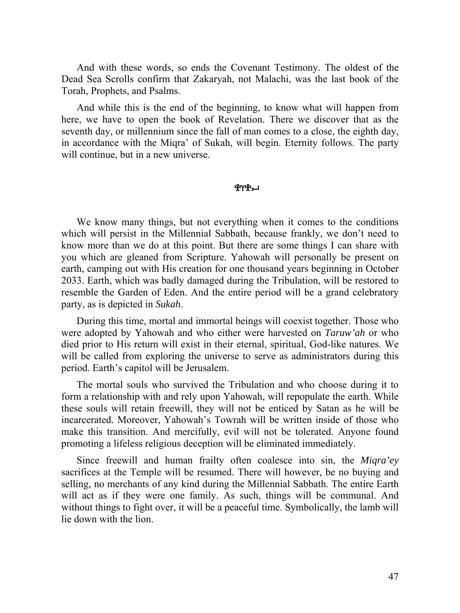And with these words, so ends the Covenant Testimony. The oldest of the Dead Sea Scrolls confirm that Zakaryah, not Malachi, was the last book of the Torah, Prophets, and Psalms.

And while this is the end of the beginning, to know what will happen from here, we have to open the book of Revelation. There we discover that as the seventh day, or millennium since the fall of man comes to a close, the eighth day, in accordance with the Miqra' of Sukah, will begin. Eternity follows. The party will continue, but in a new universe.

### ቔ፞кሕግ

We know many things, but not everything when it comes to the conditions which will persist in the Millennial Sabbath, because frankly, we don't need to know more than we do at this point. But there are some things I can share with you which are gleaned from Scripture. Yahowah will personally be present on earth, camping out with His creation for one thousand years beginning in October 2033. Earth, which was badly damaged during the Tribulation, will be restored to resemble the Garden of Eden. And the entire period will be a grand celebratory party, as is depicted in *Sukah*.

During this time, mortal and immortal beings will coexist together. Those who were adopted by Yahowah and who either were harvested on *Taruw'ah* or who died prior to His return will exist in their eternal, spiritual, God-like natures. We will be called from exploring the universe to serve as administrators during this period. Earth's capitol will be Jerusalem.

The mortal souls who survived the Tribulation and who choose during it to form a relationship with and rely upon Yahowah, will repopulate the earth. While these souls will retain freewill, they will not be enticed by Satan as he will be incarcerated. Moreover, Yahowah's Towrah will be written inside of those who make this transition. And mercifully, evil will not be tolerated. Anyone found promoting a lifeless religious deception will be eliminated immediately.

Since freewill and human frailty often coalesce into sin, the *Miqra'ey* sacrifices at the Temple will be resumed. There will however, be no buying and selling, no merchants of any kind during the Millennial Sabbath. The entire Earth will act as if they were one family. As such, things will be communal. And without things to fight over, it will be a peaceful time. Symbolically, the lamb will lie down with the lion.